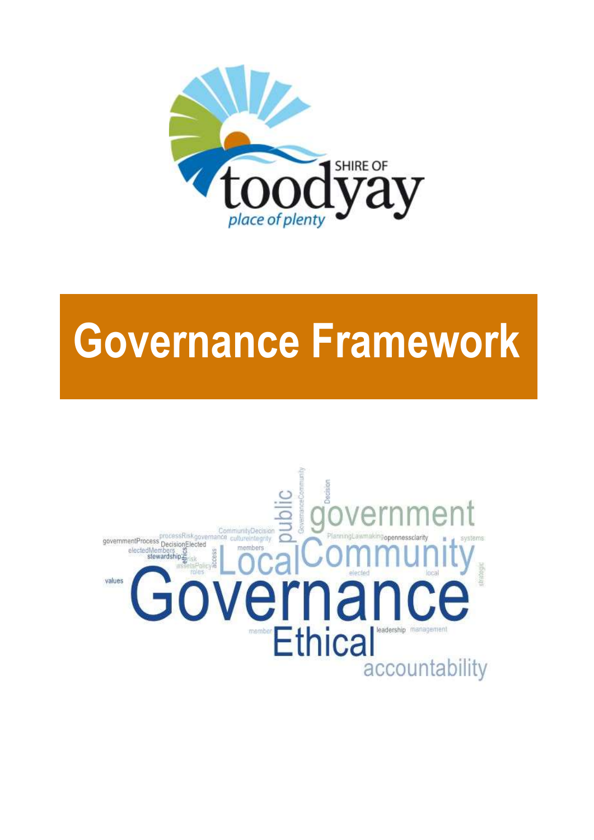

# **Governance Framework**

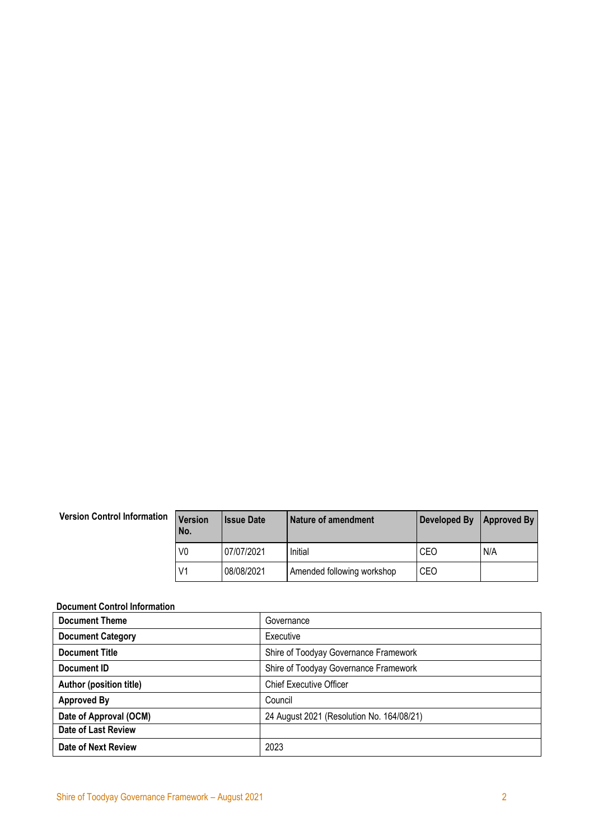#### **Version Control Information Version**

| <b>Version</b><br>No. | <b>Issue Date</b> | Nature of amendment        | Developed By | <b>Approved By</b> |
|-----------------------|-------------------|----------------------------|--------------|--------------------|
| V0                    | 07/07/2021        | Initial                    | CEO          | N/A                |
| V1                    | 08/08/2021        | Amended following workshop | CEO          |                    |

#### <span id="page-1-0"></span>**Document Control Information**

| <b>Document Theme</b>          | Governance                                |
|--------------------------------|-------------------------------------------|
| <b>Document Category</b>       | Executive                                 |
| <b>Document Title</b>          | Shire of Toodyay Governance Framework     |
| Document ID                    | Shire of Toodyay Governance Framework     |
| <b>Author (position title)</b> | <b>Chief Executive Officer</b>            |
| <b>Approved By</b>             | Council                                   |
| Date of Approval (OCM)         | 24 August 2021 (Resolution No. 164/08/21) |
| <b>Date of Last Review</b>     |                                           |
| Date of Next Review            | 2023                                      |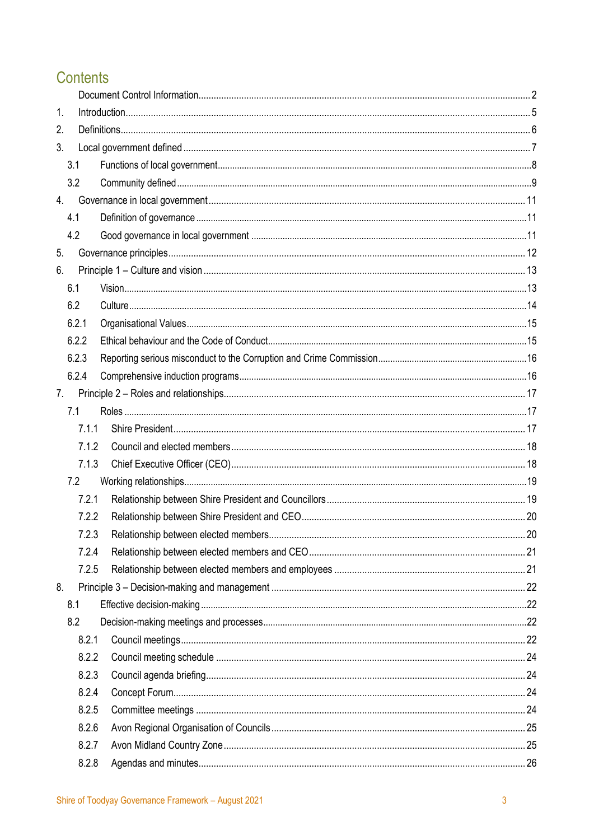# Contents

| 1. |       |      |
|----|-------|------|
| 2. |       |      |
| 3. |       |      |
|    | 3.1   |      |
|    | 3.2   |      |
|    | 4.    |      |
|    | 4.1   |      |
|    | 4.2   |      |
| 5. |       |      |
| 6. |       |      |
|    | 6.1   |      |
|    | 6.2   |      |
|    | 6.2.1 |      |
|    | 6.2.2 |      |
|    | 6.2.3 |      |
|    | 6.2.4 |      |
| 7. |       |      |
|    | 7.1   |      |
|    | 7.1.1 |      |
|    | 7.1.2 |      |
|    | 7.1.3 |      |
|    | 7.2   |      |
|    | 7.2.1 |      |
|    | 7.2.2 |      |
|    | 723   | . 20 |
|    | 7.2.4 |      |
|    | 7.2.5 |      |
| 8. |       |      |
|    | 8.1   |      |
|    | 8.2   |      |
|    | 8.2.1 |      |
|    | 8.2.2 |      |
|    | 8.2.3 |      |
|    | 8.2.4 |      |
|    | 8.2.5 |      |
|    | 8.2.6 |      |
|    | 8.2.7 |      |
|    | 8.2.8 |      |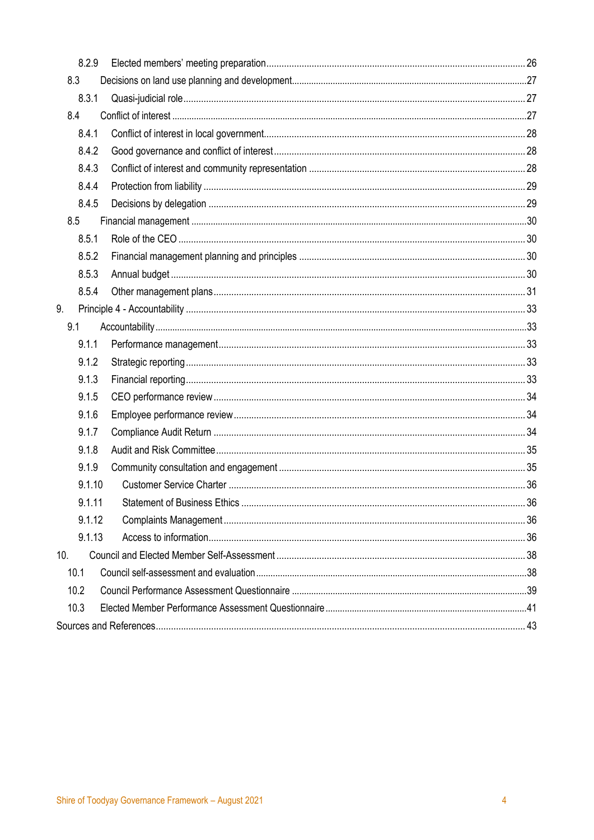<span id="page-3-0"></span>

|     | 8.2.9  |  |
|-----|--------|--|
| 8.3 |        |  |
|     | 8.3.1  |  |
| 8.4 |        |  |
|     | 8.4.1  |  |
|     | 8.4.2  |  |
|     | 8.4.3  |  |
|     | 8.4.4  |  |
|     | 8.4.5  |  |
| 8.5 |        |  |
|     | 8.5.1  |  |
|     | 8.5.2  |  |
|     | 8.5.3  |  |
|     | 8.5.4  |  |
| 9.  |        |  |
| 9.1 |        |  |
|     | 9.1.1  |  |
|     | 9.1.2  |  |
|     | 9.1.3  |  |
|     | 9.1.5  |  |
|     | 9.1.6  |  |
|     | 9.1.7  |  |
|     | 9.1.8  |  |
|     | 9.1.9  |  |
|     | 9.1.10 |  |
|     | 9.1.11 |  |
|     | 9.1.12 |  |
|     | 9.1.13 |  |
| 10. |        |  |
|     | 10.1   |  |
|     | 10.2   |  |
|     | 10.3   |  |
|     |        |  |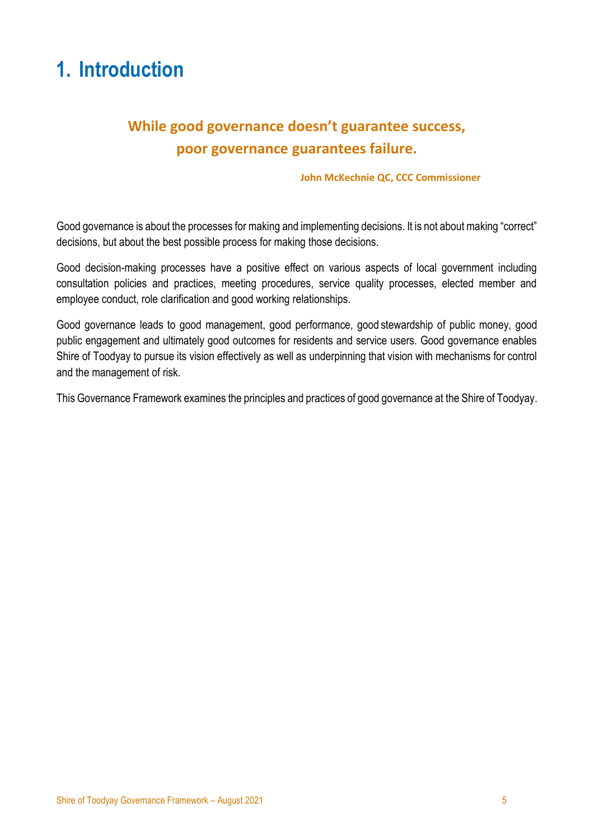# **1. Introduction**

# **While good governance doesn't guarantee success, poor governance guarantees failure.**

#### **John McKechnie QC, CCC Commissioner**

Good governance is about the processes for making and implementing decisions. It is not about making "correct" decisions, but about the best possible process for making those decisions.

Good decision-making processes have a positive effect on various aspects of local government including consultation policies and practices, meeting procedures, service quality processes, elected member and employee conduct, role clarification and good working relationships.

Good governance leads to good management, good performance, good stewardship of public money, good public engagement and ultimately good outcomes for residents and service users. Good governance enables Shire of Toodyay to pursue its vision effectively as well as underpinning that vision with mechanisms for control and the management of risk.

This Governance Framework examines the principles and practices of good governance at the Shire of Toodyay.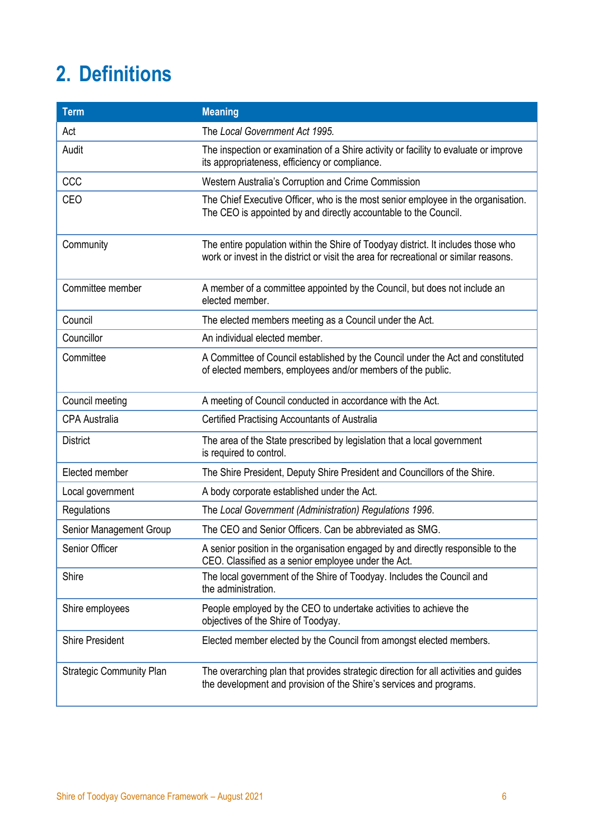# <span id="page-5-0"></span>**2. Definitions**

| <b>Term</b>                     | <b>Meaning</b>                                                                                                                                                             |
|---------------------------------|----------------------------------------------------------------------------------------------------------------------------------------------------------------------------|
| Act                             | The Local Government Act 1995.                                                                                                                                             |
| Audit                           | The inspection or examination of a Shire activity or facility to evaluate or improve<br>its appropriateness, efficiency or compliance.                                     |
| <b>CCC</b>                      | Western Australia's Corruption and Crime Commission                                                                                                                        |
| <b>CEO</b>                      | The Chief Executive Officer, who is the most senior employee in the organisation.<br>The CEO is appointed by and directly accountable to the Council.                      |
| Community                       | The entire population within the Shire of Toodyay district. It includes those who<br>work or invest in the district or visit the area for recreational or similar reasons. |
| Committee member                | A member of a committee appointed by the Council, but does not include an<br>elected member.                                                                               |
| Council                         | The elected members meeting as a Council under the Act.                                                                                                                    |
| Councillor                      | An individual elected member.                                                                                                                                              |
| Committee                       | A Committee of Council established by the Council under the Act and constituted<br>of elected members, employees and/or members of the public.                             |
| Council meeting                 | A meeting of Council conducted in accordance with the Act.                                                                                                                 |
| <b>CPA Australia</b>            | Certified Practising Accountants of Australia                                                                                                                              |
| <b>District</b>                 | The area of the State prescribed by legislation that a local government<br>is required to control.                                                                         |
| Elected member                  | The Shire President, Deputy Shire President and Councillors of the Shire.                                                                                                  |
| Local government                | A body corporate established under the Act.                                                                                                                                |
| Regulations                     | The Local Government (Administration) Regulations 1996.                                                                                                                    |
| Senior Management Group         | The CEO and Senior Officers. Can be abbreviated as SMG.                                                                                                                    |
| Senior Officer                  | A senior position in the organisation engaged by and directly responsible to the<br>CEO. Classified as a senior employee under the Act.                                    |
| Shire                           | The local government of the Shire of Toodyay. Includes the Council and<br>the administration.                                                                              |
| Shire employees                 | People employed by the CEO to undertake activities to achieve the<br>objectives of the Shire of Toodyay.                                                                   |
| <b>Shire President</b>          | Elected member elected by the Council from amongst elected members.                                                                                                        |
| <b>Strategic Community Plan</b> | The overarching plan that provides strategic direction for all activities and guides<br>the development and provision of the Shire's services and programs.                |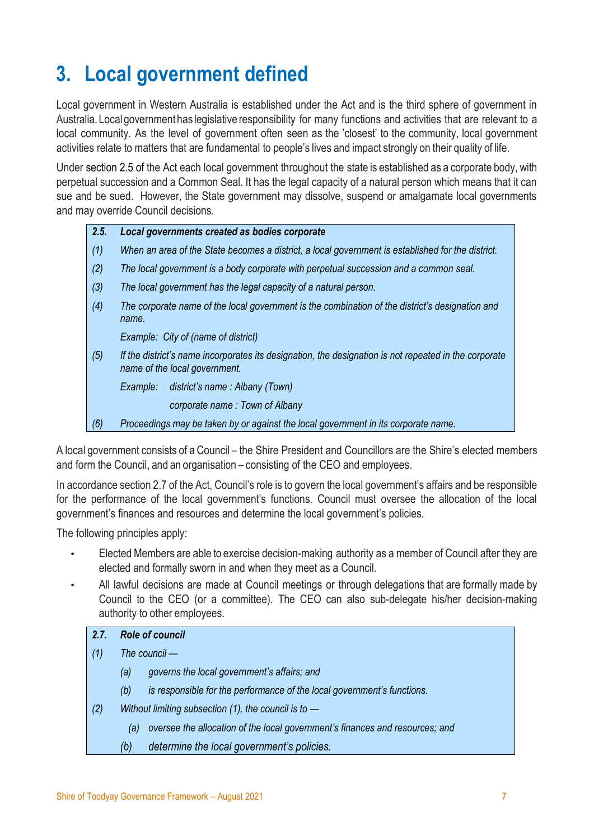# <span id="page-6-0"></span>**3. Local government defined**

Local government in Western Australia is established under the Act and is the third sphere of government in Australia. Localgovernment has legislative responsibility for many functions and activities that are relevant to a local community. As the level of government often seen as the 'closest' to the community, local government activities relate to matters that are fundamental to people's lives and impact strongly on their quality of life.

Under section 2.5 of the Act each local government throughout the state is established as a corporate body, with perpetual succession and a Common Seal. It has the legal capacity of a natural person which means that it can sue and be sued. However, the State government may dissolve, suspend or amalgamate local governments and may override Council decisions.

#### *2.5. Local governments created as bodies corporate*

- *(1) When an area of the State becomes a district, a local government is established for the district.*
- *(2) The local government is a body corporate with perpetual succession and a common seal.*
- *(3) The local government has the legal capacity of a natural person.*
- *(4) The corporate name of the local government is the combination of the district's designation and name.*

*Example: City of (name of district)*

*(5) If the district's name incorporates its designation, the designation is not repeated in the corporate name of the local government.*

*Example: district's name : Albany (Town)*

*corporate name : Town of Albany*

*(6) Proceedings may be taken by or against the local government in its corporate name.*

A local government consists of a Council – the Shire President and Councillors are the Shire's elected members and form the Council, and an organisation – consisting of the CEO and employees.

In accordance section 2.7 of the Act, Council's role is to govern the local government's affairs and be responsible for the performance of the local government's functions. Council must oversee the allocation of the local government's finances and resources and determine the local government's policies.

The following principles apply:

- Elected Members are able to exercise decision-making authority as a member of Council after they are elected and formally sworn in and when they meet as a Council.
- All lawful decisions are made at Council meetings or through delegations that are formally made by Council to the CEO (or a committee). The CEO can also sub-delegate his/her decision-making authority to other employees.

#### *2.7. Role of council*

- *(1) The council —*
	- *(a) governs the local government's affairs; and*
	- *(b) is responsible for the performance of the local government's functions.*
- *(2) Without limiting subsection (1), the council is to —*
	- *(a) oversee the allocation of the local government's finances and resources; and*
	- *(b) determine the local government's policies.*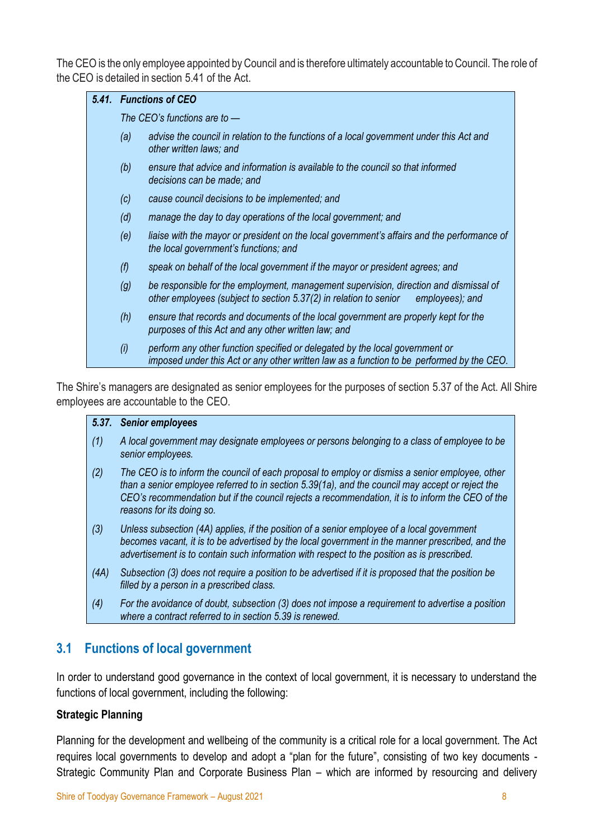The CEO is the only employee appointed by Council and is therefore ultimately accountable to Council. The role of the CEO is detailed in section 5.41 of the Act.

|     | 5.41. Functions of CEO                                                                                                                                                        |
|-----|-------------------------------------------------------------------------------------------------------------------------------------------------------------------------------|
|     | The CEO's functions are to $-$                                                                                                                                                |
| (a) | advise the council in relation to the functions of a local government under this Act and<br>other written laws; and                                                           |
| (b) | ensure that advice and information is available to the council so that informed<br>decisions can be made; and                                                                 |
| (c) | cause council decisions to be implemented; and                                                                                                                                |
| (d) | manage the day to day operations of the local government; and                                                                                                                 |
| (e) | liaise with the mayor or president on the local government's affairs and the performance of<br>the local government's functions; and                                          |
| (f) | speak on behalf of the local government if the mayor or president agrees; and                                                                                                 |
| (g) | be responsible for the employment, management supervision, direction and dismissal of<br>other employees (subject to section 5.37(2) in relation to senior<br>employees); and |
| (h) | ensure that records and documents of the local government are properly kept for the<br>purposes of this Act and any other written law; and                                    |
| (i) | perform any other function specified or delegated by the local government or<br>imposed under this Act or any other written law as a function to be performed by the CEO.     |

The Shire's managers are designated as senior employees for the purposes of section 5.37 of the Act. All Shire employees are accountable to the CEO.

#### *5.37. Senior employees*

- *(1) A local government may designate employees or persons belonging to a class of employee to be senior employees.*
- *(2) The CEO is to inform the council of each proposal to employ or dismiss a senior employee, other than a senior employee referred to in section 5.39(1a), and the council may accept or reject the CEO's recommendation but if the council rejects a recommendation, it is to inform the CEO of the reasons for its doing so.*
- *(3) Unless subsection (4A) applies, if the position of a senior employee of a local government becomes vacant, it is to be advertised by the local government in the manner prescribed, and the advertisement is to contain such information with respect to the position as is prescribed.*
- *(4A) Subsection (3) does not require a position to be advertised if it is proposed that the position be filled by a person in a prescribed class.*
- *(4) For the avoidance of doubt, subsection (3) does not impose a requirement to advertise a position where a contract referred to in section 5.39 is renewed.*

#### <span id="page-7-0"></span>**3.1 Functions of local government**

In order to understand good governance in the context of local government, it is necessary to understand the functions of local government, including the following:

#### **Strategic Planning**

Planning for the development and wellbeing of the community is a critical role for a local government. The Act requires local governments to develop and adopt a "plan for the future", consisting of two key documents - Strategic Community Plan and Corporate Business Plan – which are informed by resourcing and delivery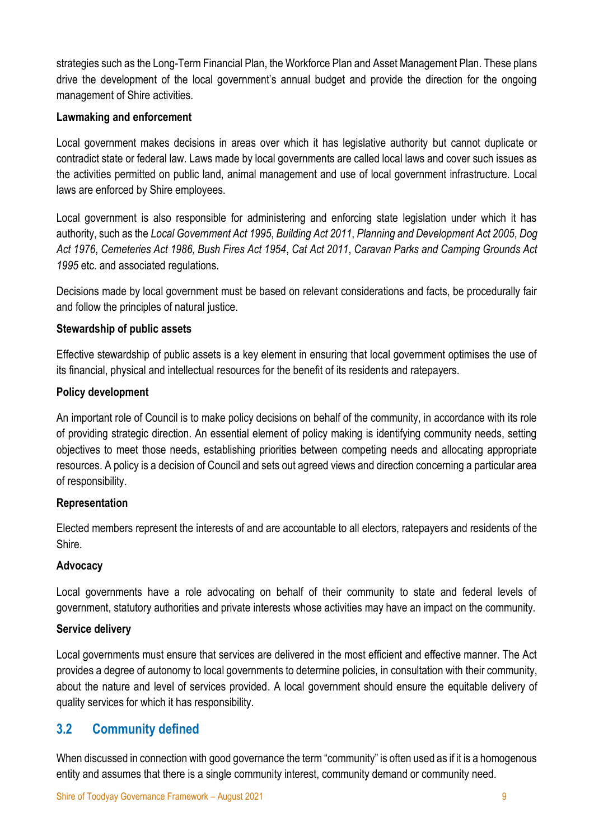strategies such as the Long-Term Financial Plan, the Workforce Plan and Asset Management Plan. These plans drive the development of the local government's annual budget and provide the direction for the ongoing management of Shire activities.

#### **Lawmaking and enforcement**

Local government makes decisions in areas over which it has legislative authority but cannot duplicate or contradict state or federal law. Laws made by local governments are called local laws and cover such issues as the activities permitted on public land, animal management and use of local government infrastructure. Local laws are enforced by Shire employees.

Local government is also responsible for administering and enforcing state legislation under which it has authority, such as the *Local Government Act 1995*, *Building Act 2011*, *Planning and Development Act 2005*, *Dog Act 1976*, *Cemeteries Act 1986, Bush Fires Act 1954*, *Cat Act 2011*, *Caravan Parks and Camping Grounds Act 1995* etc. and associated regulations.

Decisions made by local government must be based on relevant considerations and facts, be procedurally fair and follow the principles of natural justice.

#### **Stewardship of public assets**

Effective stewardship of public assets is a key element in ensuring that local government optimises the use of its financial, physical and intellectual resources for the benefit of its residents and ratepayers.

#### **Policy development**

An important role of Council is to make policy decisions on behalf of the community, in accordance with its role of providing strategic direction. An essential element of policy making is identifying community needs, setting objectives to meet those needs, establishing priorities between competing needs and allocating appropriate resources. A policy is a decision of Council and sets out agreed views and direction concerning a particular area of responsibility.

#### **Representation**

Elected members represent the interests of and are accountable to all electors, ratepayers and residents of the Shire.

#### **Advocacy**

Local governments have a role advocating on behalf of their community to state and federal levels of government, statutory authorities and private interests whose activities may have an impact on the community.

#### **Service delivery**

Local governments must ensure that services are delivered in the most efficient and effective manner. The Act provides a degree of autonomy to local governments to determine policies, in consultation with their community, about the nature and level of services provided. A local government should ensure the equitable delivery of quality services for which it has responsibility.

# <span id="page-8-0"></span>**3.2 Community defined**

When discussed in connection with good governance the term "community" is often used as if it is a homogenous entity and assumes that there is a single community interest, community demand or community need.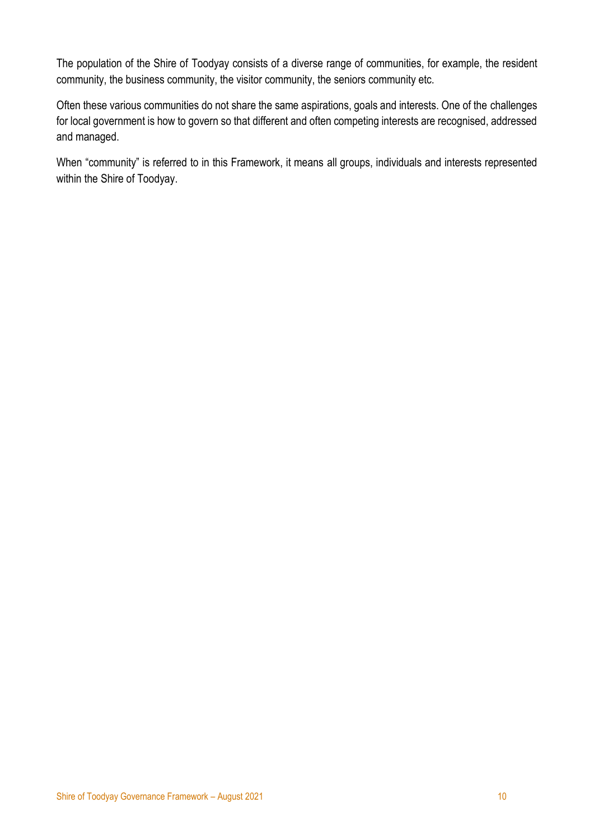The population of the Shire of Toodyay consists of a diverse range of communities, for example, the resident community, the business community, the visitor community, the seniors community etc.

Often these various communities do not share the same aspirations, goals and interests. One of the challenges for local government is how to govern so that different and often competing interests are recognised, addressed and managed.

When "community" is referred to in this Framework, it means all groups, individuals and interests represented within the Shire of Toodyay.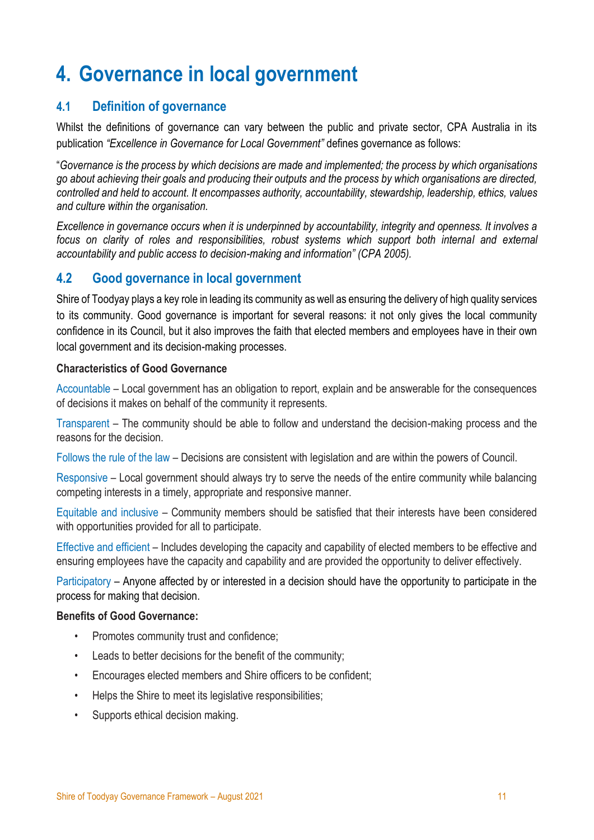# <span id="page-10-0"></span>**4. Governance in local government**

# <span id="page-10-1"></span>**4.1 Definition of governance**

Whilst the definitions of governance can vary between the public and private sector, CPA Australia in its publication *"Excellence in Governance for Local Government"* defines governance as follows:

"*Governance is the process by which decisions are made and implemented; the process by which organisations go about achieving their goals and producing their outputs and the process by which organisations are directed, controlled and held to account. It encompasses authority, accountability, stewardship, leadership, ethics, values and culture within the organisation.*

*Excellence in governance occurs when it is underpinned by accountability, integrity and openness. It involves a focus on clarity of roles and responsibilities, robust systems which support both internal and external accountability and public access to decision-making and information" (CPA 2005).*

### <span id="page-10-2"></span>**4.2 Good governance in local government**

Shire of Toodyay plays a key role in leading its community as well as ensuring the delivery of high quality services to its community. Good governance is important for several reasons: it not only gives the local community confidence in its Council, but it also improves the faith that elected members and employees have in their own local government and its decision-making processes.

#### **Characteristics of Good Governance**

Accountable – Local government has an obligation to report, explain and be answerable for the consequences of decisions it makes on behalf of the community it represents.

Transparent – The community should be able to follow and understand the decision-making process and the reasons for the decision.

Follows the rule of the law – Decisions are consistent with legislation and are within the powers of Council.

Responsive – Local government should always try to serve the needs of the entire community while balancing competing interests in a timely, appropriate and responsive manner.

Equitable and inclusive – Community members should be satisfied that their interests have been considered with opportunities provided for all to participate.

Effective and efficient – Includes developing the capacity and capability of elected members to be effective and ensuring employees have the capacity and capability and are provided the opportunity to deliver effectively.

Participatory – Anyone affected by or interested in a decision should have the opportunity to participate in the process for making that decision.

#### **Benefits of Good Governance:**

- Promotes community trust and confidence;
- Leads to better decisions for the benefit of the community;
- Encourages elected members and Shire officers to be confident;
- Helps the Shire to meet its legislative responsibilities;
- Supports ethical decision making.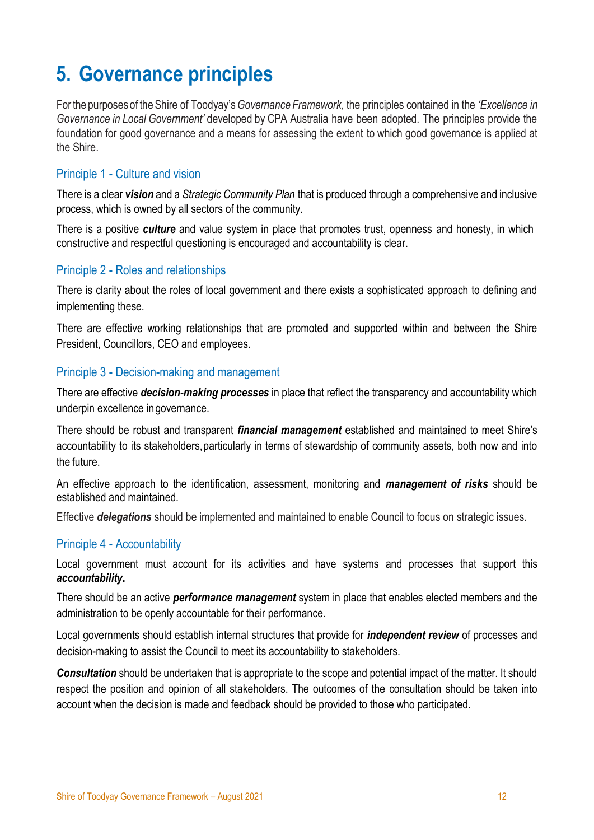# <span id="page-11-0"></span>**5. Governance principles**

Forthe purposes of theShire of Toodyay's*Governance Framework*, the principles contained in the *'Excellence in Governance in Local Government'* developed by CPA Australia have been adopted. The principles provide the foundation for good governance and a means for assessing the extent to which good governance is applied at the Shire.

#### Principle 1 - Culture and vision

There is a clear *vision* and a *Strategic Community Plan* that is produced through a comprehensive and inclusive process, which is owned by all sectors of the community.

There is a positive *culture* and value system in place that promotes trust, openness and honesty, in which constructive and respectful questioning is encouraged and accountability is clear.

#### Principle 2 - Roles and relationships

There is clarity about the roles of local government and there exists a sophisticated approach to defining and implementing these.

There are effective working relationships that are promoted and supported within and between the Shire President, Councillors, CEO and employees.

#### Principle 3 - Decision-making and management

There are effective *decision-making processes* in place that reflect the transparency and accountability which underpin excellence ingovernance.

There should be robust and transparent *financial management* established and maintained to meet Shire's accountability to its stakeholders,particularly in terms of stewardship of community assets, both now and into the future.

An effective approach to the identification, assessment, monitoring and *management of risks* should be established and maintained.

Effective *delegations* should be implemented and maintained to enable Council to focus on strategic issues.

#### Principle 4 - Accountability

Local government must account for its activities and have systems and processes that support this *accountability***.**

There should be an active *performance management* system in place that enables elected members and the administration to be openly accountable for their performance.

Local governments should establish internal structures that provide for *independent review* of processes and decision-making to assist the Council to meet its accountability to stakeholders.

*Consultation* should be undertaken that is appropriate to the scope and potential impact of the matter. It should respect the position and opinion of all stakeholders. The outcomes of the consultation should be taken into account when the decision is made and feedback should be provided to those who participated.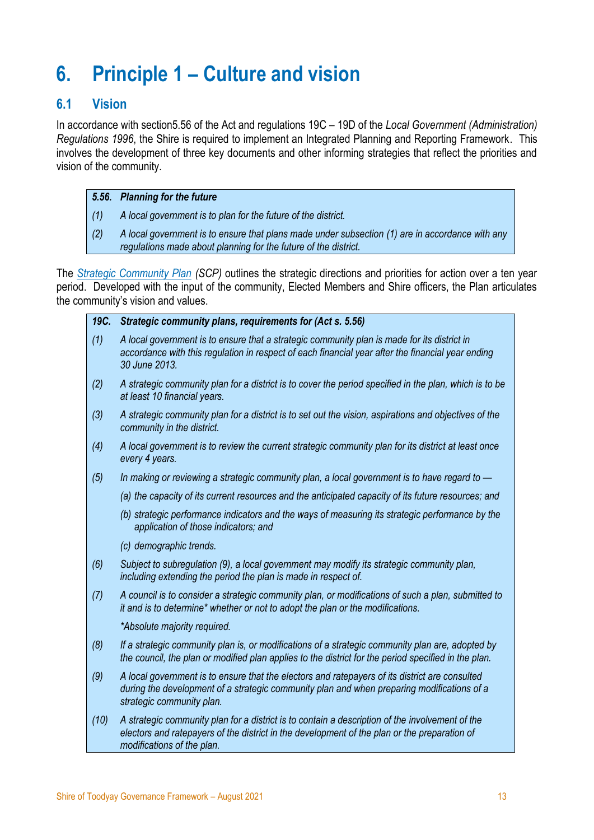# <span id="page-12-0"></span>**6. Principle 1 – Culture and vision**

# <span id="page-12-1"></span>**6.1 Vision**

In accordance with section5.56 of the Act and regulations 19C – 19D of the *Local Government (Administration) Regulations 1996*, the Shire is required to implement an Integrated Planning and Reporting Framework. This involves the development of three key documents and other informing strategies that reflect the priorities and vision of the community.

#### *5.56. Planning for the future*

- *(1) A local government is to plan for the future of the district.*
- *(2) A local government is to ensure that plans made under subsection (1) are in accordance with any regulations made about planning for the future of the district.*

The *[Strategic Community Plan](https://www.toodyay.wa.gov.au/documents/8/sot-strategic-community-plan-toodyay-2028-final-version) (SCP)* outlines the strategic directions and priorities for action over a ten year period. Developed with the input of the community, Elected Members and Shire officers, the Plan articulates the community's vision and values.

#### *19C. Strategic community plans, requirements for (Act s. 5.56)*

- *(1) A local government is to ensure that a strategic community plan is made for its district in accordance with this regulation in respect of each financial year after the financial year ending 30 June 2013.*
- *(2) A strategic community plan for a district is to cover the period specified in the plan, which is to be at least 10 financial years.*
- *(3) A strategic community plan for a district is to set out the vision, aspirations and objectives of the community in the district.*
- *(4) A local government is to review the current strategic community plan for its district at least once every 4 years.*
- *(5) In making or reviewing a strategic community plan, a local government is to have regard to —*
	- *(a) the capacity of its current resources and the anticipated capacity of its future resources; and*
	- *(b) strategic performance indicators and the ways of measuring its strategic performance by the application of those indicators; and*
	- *(c) demographic trends.*
- *(6) Subject to subregulation (9), a local government may modify its strategic community plan, including extending the period the plan is made in respect of.*
- *(7) A council is to consider a strategic community plan, or modifications of such a plan, submitted to it and is to determine\* whether or not to adopt the plan or the modifications.*

*\*Absolute majority required.*

- *(8) If a strategic community plan is, or modifications of a strategic community plan are, adopted by the council, the plan or modified plan applies to the district for the period specified in the plan.*
- *(9) A local government is to ensure that the electors and ratepayers of its district are consulted during the development of a strategic community plan and when preparing modifications of a strategic community plan.*
- *(10) A strategic community plan for a district is to contain a description of the involvement of the electors and ratepayers of the district in the development of the plan or the preparation of modifications of the plan.*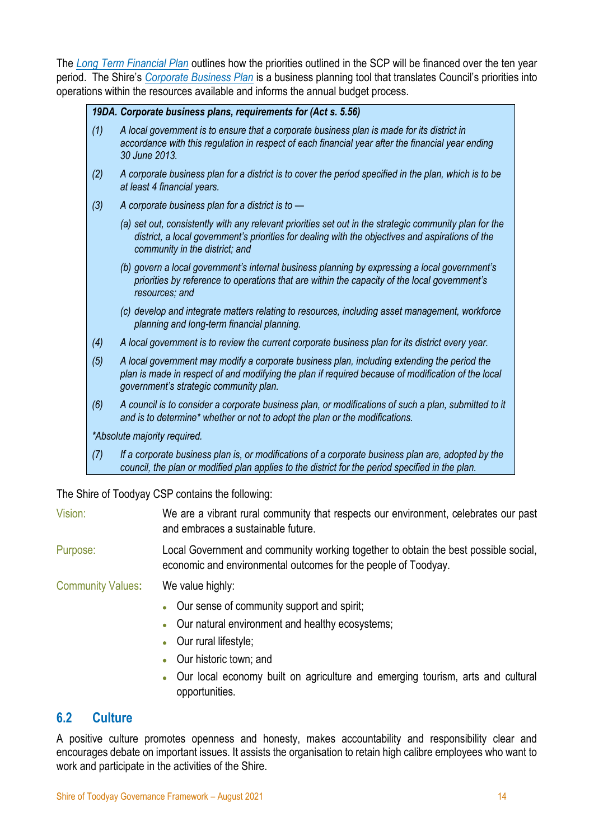The *[Long Term Financial Plan](https://www.toodyay.wa.gov.au/documents/7/shire-of-toodyay-long-term-financial-plan-2018-19-to-2027-28)* outlines how the priorities outlined in the SCP will be financed over the ten year period. The Shire's *[Corporate Business Plan](https://www.toodyay.wa.gov.au/documents/20/corporate-business-plan-march-2019)* is a business planning tool that translates Council's priorities into operations within the resources available and informs the annual budget process.

#### *19DA. Corporate business plans, requirements for (Act s. 5.56)*

- *(1) A local government is to ensure that a corporate business plan is made for its district in accordance with this regulation in respect of each financial year after the financial year ending 30 June 2013.*
- *(2) A corporate business plan for a district is to cover the period specified in the plan, which is to be at least 4 financial years.*
- *(3) A corporate business plan for a district is to —*
	- *(a) set out, consistently with any relevant priorities set out in the strategic community plan for the district, a local government's priorities for dealing with the objectives and aspirations of the community in the district; and*
	- *(b) govern a local government's internal business planning by expressing a local government's priorities by reference to operations that are within the capacity of the local government's resources; and*
	- *(c) develop and integrate matters relating to resources, including asset management, workforce planning and long-term financial planning.*
- *(4) A local government is to review the current corporate business plan for its district every year.*
- *(5) A local government may modify a corporate business plan, including extending the period the plan is made in respect of and modifying the plan if required because of modification of the local government's strategic community plan.*
- *(6) A council is to consider a corporate business plan, or modifications of such a plan, submitted to it and is to determine\* whether or not to adopt the plan or the modifications.*

*\*Absolute majority required.*

*(7) If a corporate business plan is, or modifications of a corporate business plan are, adopted by the council, the plan or modified plan applies to the district for the period specified in the plan.*

The Shire of Toodyay CSP contains the following:

- Vision: We are a vibrant rural community that respects our environment, celebrates our past and embraces a sustainable future.
- Purpose: Local Government and community working together to obtain the best possible social, economic and environmental outcomes for the people of Toodyay.

Community Values**:** We value highly:

- Our sense of community support and spirit;
- Our natural environment and healthy ecosystems;
- Our rural lifestyle:
- Our historic town; and
- Our local economy built on agriculture and emerging tourism, arts and cultural opportunities.

#### <span id="page-13-0"></span>**6.2 Culture**

A positive culture promotes openness and honesty, makes accountability and responsibility clear and encourages debate on important issues. It assists the organisation to retain high calibre employees who want to work and participate in the activities of the Shire.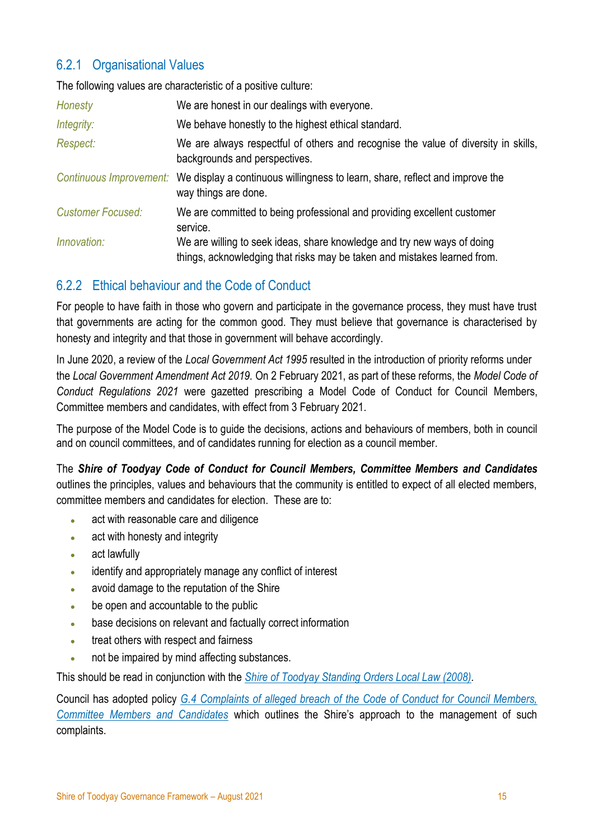# <span id="page-14-0"></span>6.2.1 Organisational Values

The following values are characteristic of a positive culture:

| Honesty                  | We are honest in our dealings with everyone.                                                                                                        |
|--------------------------|-----------------------------------------------------------------------------------------------------------------------------------------------------|
| Integrity:               | We behave honestly to the highest ethical standard.                                                                                                 |
| Respect:                 | We are always respectful of others and recognise the value of diversity in skills,<br>backgrounds and perspectives.                                 |
| Continuous Improvement:  | We display a continuous willingness to learn, share, reflect and improve the<br>way things are done.                                                |
| <b>Customer Focused:</b> | We are committed to being professional and providing excellent customer<br>service.                                                                 |
| Innovation:              | We are willing to seek ideas, share knowledge and try new ways of doing<br>things, acknowledging that risks may be taken and mistakes learned from. |

# <span id="page-14-1"></span>6.2.2 Ethical behaviour and the Code of Conduct

For people to have faith in those who govern and participate in the governance process, they must have trust that governments are acting for the common good. They must believe that governance is characterised by honesty and integrity and that those in government will behave accordingly.

In June 2020, a review of the *Local Government Act 1995* resulted in the introduction of priority reforms under the *Local Government Amendment Act 2019.* On 2 February 2021, as part of these reforms, the *Model Code of Conduct Regulations 2021* were gazetted prescribing a Model Code of Conduct for Council Members, Committee members and candidates, with effect from 3 February 2021.

The purpose of the Model Code is to guide the decisions, actions and behaviours of members, both in council and on council committees, and of candidates running for election as a council member.

The *Shire of Toodyay Code of Conduct for Council Members, Committee Members and Candidates* outlines the principles, values and behaviours that the community is entitled to expect of all elected members, committee members and candidates for election. These are to:

- act with reasonable care and diligence
- act with honesty and integrity
- act lawfully
- identify and appropriately manage any conflict of interest
- avoid damage to the reputation of the Shire
- be open and accountable to the public
- base decisions on relevant and factually correct information
- treat others with respect and fairness
- not be impaired by mind affecting substances.

This should be read in conjunction with the *[Shire of Toodyay Standing Orders Local Law \(2008\).](https://www.toodyay.wa.gov.au/documents/27/shire-of-toodyay-standing-orders-local-law-2008)*

Council has adopted policy *G.4 [Complaints of alleged breach of the Code of Conduct for Council Members,](https://www.toodyay.wa.gov.au/documents/297/g4-complaints-of-alleged-breach-of-the-code-of-conduct-for-council-members-committee-members-and-candidates)  [Committee Members and Candidates](https://www.toodyay.wa.gov.au/documents/297/g4-complaints-of-alleged-breach-of-the-code-of-conduct-for-council-members-committee-members-and-candidates)* which outlines the Shire's approach to the management of such complaints.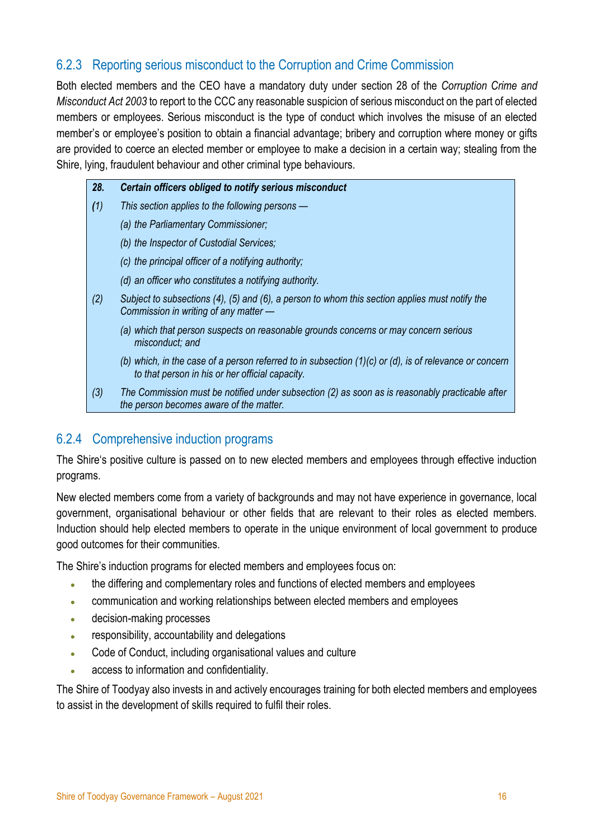# <span id="page-15-0"></span>6.2.3 Reporting serious misconduct to the Corruption and Crime Commission

Both elected members and the CEO have a mandatory duty under section 28 of the *Corruption Crime and Misconduct Act 2003* to report to the CCC any reasonable suspicion of serious misconduct on the part of elected members or employees. Serious misconduct is the type of conduct which involves the misuse of an elected member's or employee's position to obtain a financial advantage; bribery and corruption where money or gifts are provided to coerce an elected member or employee to make a decision in a certain way; stealing from the Shire, lying, fraudulent behaviour and other criminal type behaviours.

| 28. | Certain officers obliged to notify serious misconduct                                                                                                          |
|-----|----------------------------------------------------------------------------------------------------------------------------------------------------------------|
| (1) | This section applies to the following persons —                                                                                                                |
|     | (a) the Parliamentary Commissioner;                                                                                                                            |
|     | (b) the Inspector of Custodial Services;                                                                                                                       |
|     | (c) the principal officer of a notifying authority;                                                                                                            |
|     | (d) an officer who constitutes a notifying authority.                                                                                                          |
| (2) | Subject to subsections (4), (5) and (6), a person to whom this section applies must notify the<br>Commission in writing of any matter -                        |
|     | (a) which that person suspects on reasonable grounds concerns or may concern serious<br>misconduct: and                                                        |
|     | (b) which, in the case of a person referred to in subsection $(1)(c)$ or $(d)$ , is of relevance or concern<br>to that person in his or her official capacity. |
| (3) | The Commission must be notified under subsection (2) as soon as is reasonably practicable after<br>the person becomes aware of the matter.                     |

# <span id="page-15-1"></span>6.2.4 Comprehensive induction programs

The Shire's positive culture is passed on to new elected members and employees through effective induction programs.

New elected members come from a variety of backgrounds and may not have experience in governance, local government, organisational behaviour or other fields that are relevant to their roles as elected members. Induction should help elected members to operate in the unique environment of local government to produce good outcomes for their communities.

The Shire's induction programs for elected members and employees focus on:

- the differing and complementary roles and functions of elected members and employees
- communication and working relationships between elected members and employees
- decision-making processes
- responsibility, accountability and delegations
- Code of Conduct, including organisational values and culture
- access to information and confidentiality.

The Shire of Toodyay also invests in and actively encourages training for both elected members and employees to assist in the development of skills required to fulfil their roles.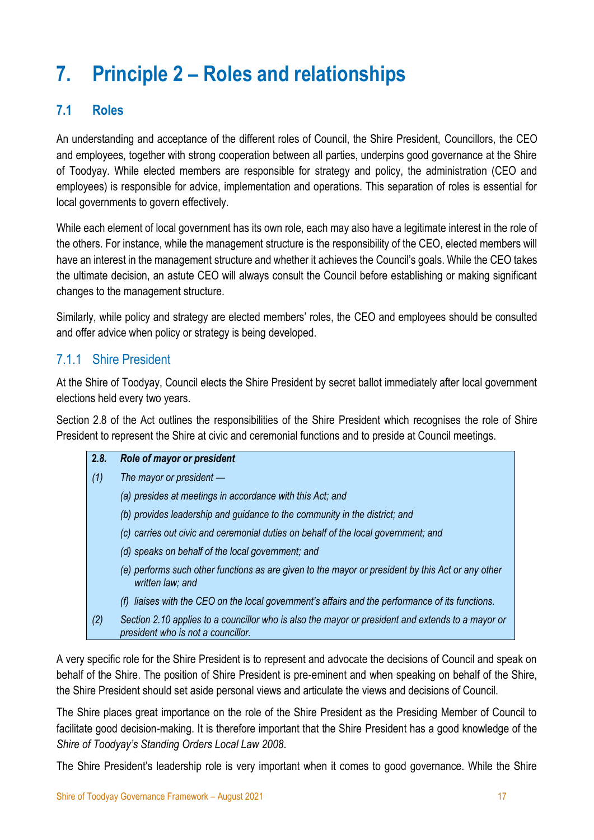# <span id="page-16-0"></span>**7. Principle 2 – Roles and relationships**

# <span id="page-16-1"></span>**7.1 Roles**

An understanding and acceptance of the different roles of Council, the Shire President, Councillors, the CEO and employees, together with strong cooperation between all parties, underpins good governance at the Shire of Toodyay. While elected members are responsible for strategy and policy, the administration (CEO and employees) is responsible for advice, implementation and operations. This separation of roles is essential for local governments to govern effectively.

While each element of local government has its own role, each may also have a legitimate interest in the role of the others. For instance, while the management structure is the responsibility of the CEO, elected members will have an interest in the management structure and whether it achieves the Council's goals. While the CEO takes the ultimate decision, an astute CEO will always consult the Council before establishing or making significant changes to the management structure.

Similarly, while policy and strategy are elected members' roles, the CEO and employees should be consulted and offer advice when policy or strategy is being developed.

# <span id="page-16-2"></span>7.1.1 Shire President

At the Shire of Toodyay, Council elects the Shire President by secret ballot immediately after local government elections held every two years.

Section 2.8 of the Act outlines the responsibilities of the Shire President which recognises the role of Shire President to represent the Shire at civic and ceremonial functions and to preside at Council meetings.

| 2.8. | Role of mayor or president                                                                                                              |
|------|-----------------------------------------------------------------------------------------------------------------------------------------|
| (1)  | The mayor or president $-$                                                                                                              |
|      | (a) presides at meetings in accordance with this Act; and                                                                               |
|      | (b) provides leadership and guidance to the community in the district; and                                                              |
|      | (c) carries out civic and ceremonial duties on behalf of the local government; and                                                      |
|      | (d) speaks on behalf of the local government; and                                                                                       |
|      | (e) performs such other functions as are given to the mayor or president by this Act or any other<br>written law; and                   |
|      | liaises with the CEO on the local government's affairs and the performance of its functions.                                            |
| (2)  | Section 2.10 applies to a councillor who is also the mayor or president and extends to a mayor or<br>president who is not a councillor. |

A very specific role for the Shire President is to represent and advocate the decisions of Council and speak on behalf of the Shire. The position of Shire President is pre-eminent and when speaking on behalf of the Shire, the Shire President should set aside personal views and articulate the views and decisions of Council.

The Shire places great importance on the role of the Shire President as the Presiding Member of Council to facilitate good decision-making. It is therefore important that the Shire President has a good knowledge of the *Shire of Toodyay's Standing Orders Local Law 2008*.

The Shire President's leadership role is very important when it comes to good governance. While the Shire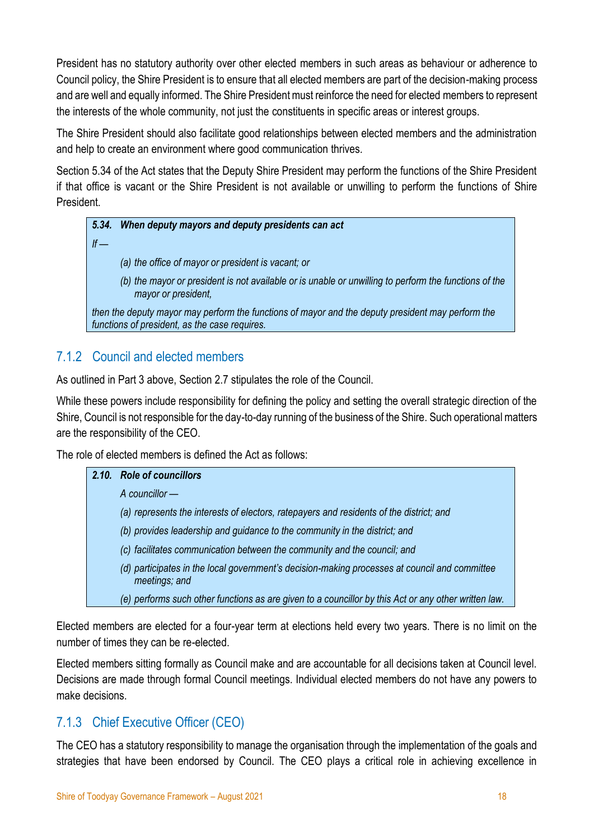President has no statutory authority over other elected members in such areas as behaviour or adherence to Council policy, the Shire President is to ensure that all elected members are part of the decision-making process and are well and equally informed. The Shire President must reinforce the need for elected members to represent the interests of the whole community, not just the constituents in specific areas or interest groups.

The Shire President should also facilitate good relationships between elected members and the administration and help to create an environment where good communication thrives.

Section 5.34 of the Act states that the Deputy Shire President may perform the functions of the Shire President if that office is vacant or the Shire President is not available or unwilling to perform the functions of Shire **President** 

# *5.34. When deputy mayors and deputy presidents can act If — (a) the office of mayor or president is vacant; or (b) the mayor or president is not available or is unable or unwilling to perform the functions of the mayor or president, then the deputy mayor may perform the functions of mayor and the deputy president may perform the functions of president, as the case requires.*

# <span id="page-17-0"></span>7.1.2 Council and elected members

As outlined in Part 3 above, Section 2.7 stipulates the role of the Council.

While these powers include responsibility for defining the policy and setting the overall strategic direction of the Shire, Council is not responsible for the day-to-day running of the business of the Shire. Such operational matters are the responsibility of the CEO.

The role of elected members is defined the Act as follows:

# *2.10. Role of councillors*

*A councillor —*

- *(a) represents the interests of electors, ratepayers and residents of the district; and*
- *(b) provides leadership and guidance to the community in the district; and*
- *(c) facilitates communication between the community and the council; and*
- *(d) participates in the local government's decision-making processes at council and committee meetings; and*
- *(e) performs such other functions as are given to a councillor by this Act or any other written law.*

Elected members are elected for a four-year term at elections held every two years. There is no limit on the number of times they can be re-elected.

Elected members sitting formally as Council make and are accountable for all decisions taken at Council level. Decisions are made through formal Council meetings. Individual elected members do not have any powers to make decisions.

# <span id="page-17-1"></span>7.1.3 Chief Executive Officer (CEO)

The CEO has a statutory responsibility to manage the organisation through the implementation of the goals and strategies that have been endorsed by Council. The CEO plays a critical role in achieving excellence in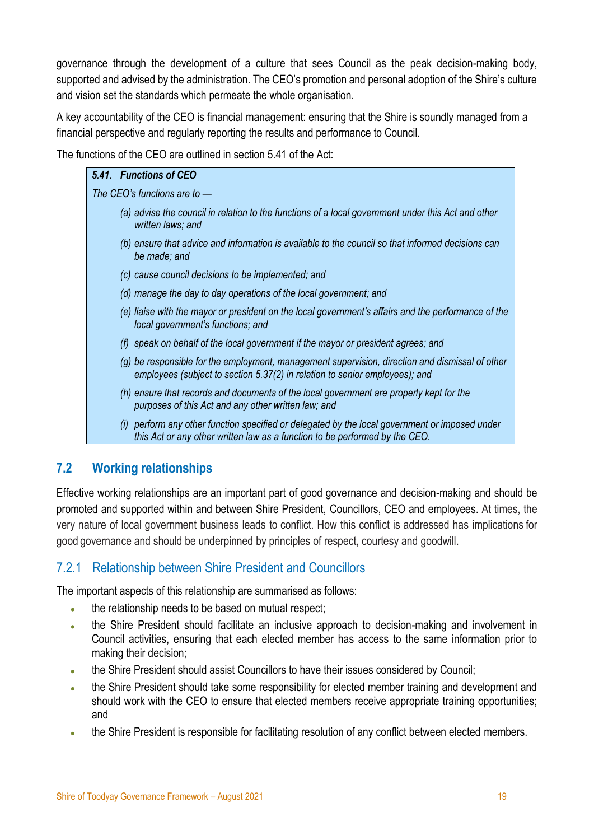governance through the development of a culture that sees Council as the peak decision-making body, supported and advised by the administration. The CEO's promotion and personal adoption of the Shire's culture and vision set the standards which permeate the whole organisation.

A key accountability of the CEO is financial management: ensuring that the Shire is soundly managed from a financial perspective and regularly reporting the results and performance to Council.

The functions of the CEO are outlined in section 5.41 of the Act:

# *5.41. Functions of CEO The CEO's functions are to — (a) advise the council in relation to the functions of a local government under this Act and other written laws; and (b) ensure that advice and information is available to the council so that informed decisions can be made; and (c) cause council decisions to be implemented; and*

- *(d) manage the day to day operations of the local government; and*
- *(e) liaise with the mayor or president on the local government's affairs and the performance of the local government's functions; and*
- *(f) speak on behalf of the local government if the mayor or president agrees; and*
- *(g) be responsible for the employment, management supervision, direction and dismissal of other employees (subject to section 5.37(2) in relation to senior employees); and*
- *(h) ensure that records and documents of the local government are properly kept for the purposes of this Act and any other written law; and*
- *(i) perform any other function specified or delegated by the local government or imposed under this Act or any other written law as a function to be performed by the CEO.*

# <span id="page-18-0"></span>**7.2 Working relationships**

Effective working relationships are an important part of good governance and decision-making and should be promoted and supported within and between Shire President, Councillors, CEO and employees. At times, the very nature of local government business leads to conflict. How this conflict is addressed has implications for good governance and should be underpinned by principles of respect, courtesy and goodwill.

# <span id="page-18-1"></span>7.2.1 Relationship between Shire President and Councillors

The important aspects of this relationship are summarised as follows:

- the relationship needs to be based on mutual respect;
- the Shire President should facilitate an inclusive approach to decision-making and involvement in Council activities, ensuring that each elected member has access to the same information prior to making their decision;
- the Shire President should assist Councillors to have their issues considered by Council;
- the Shire President should take some responsibility for elected member training and development and should work with the CEO to ensure that elected members receive appropriate training opportunities; and
- the Shire President is responsible for facilitating resolution of any conflict between elected members.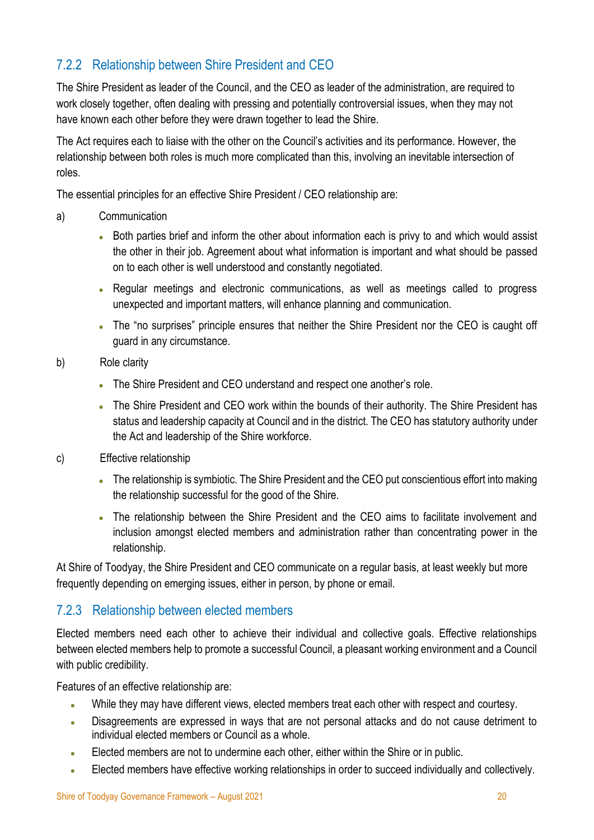# <span id="page-19-0"></span>7.2.2 Relationship between Shire President and CEO

The Shire President as leader of the Council, and the CEO as leader of the administration, are required to work closely together, often dealing with pressing and potentially controversial issues, when they may not have known each other before they were drawn together to lead the Shire.

The Act requires each to liaise with the other on the Council's activities and its performance. However, the relationship between both roles is much more complicated than this, involving an inevitable intersection of roles.

The essential principles for an effective Shire President / CEO relationship are:

- a) Communication
	- Both parties brief and inform the other about information each is privy to and which would assist the other in their job. Agreement about what information is important and what should be passed on to each other is well understood and constantly negotiated.
	- Regular meetings and electronic communications, as well as meetings called to progress unexpected and important matters, will enhance planning and communication.
	- The "no surprises" principle ensures that neither the Shire President nor the CEO is caught off guard in any circumstance.
- b) Role clarity
	- The Shire President and CEO understand and respect one another's role.
	- The Shire President and CEO work within the bounds of their authority. The Shire President has status and leadership capacity at Council and in the district. The CEO has statutory authority under the Act and leadership of the Shire workforce.
- c) Effective relationship
	- The relationship is symbiotic. The Shire President and the CEO put conscientious effort into making the relationship successful for the good of the Shire.
	- The relationship between the Shire President and the CEO aims to facilitate involvement and inclusion amongst elected members and administration rather than concentrating power in the relationship.

At Shire of Toodyay, the Shire President and CEO communicate on a regular basis, at least weekly but more frequently depending on emerging issues, either in person, by phone or email.

# <span id="page-19-1"></span>7.2.3 Relationship between elected members

Elected members need each other to achieve their individual and collective goals. Effective relationships between elected members help to promote a successful Council, a pleasant working environment and a Council with public credibility.

Features of an effective relationship are:

- While they may have different views, elected members treat each other with respect and courtesy.
- Disagreements are expressed in ways that are not personal attacks and do not cause detriment to individual elected members or Council as a whole.
- Elected members are not to undermine each other, either within the Shire or in public.
- Elected members have effective working relationships in order to succeed individually and collectively.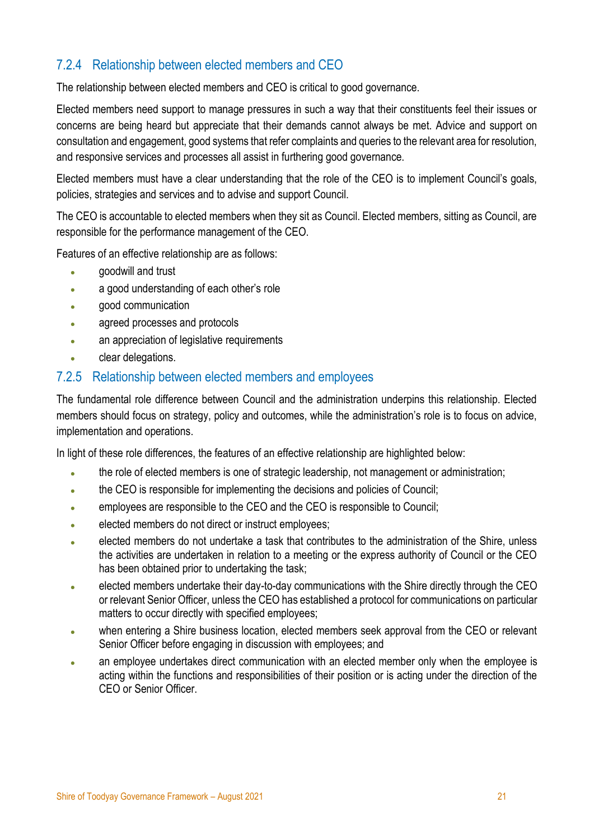# <span id="page-20-0"></span>7.2.4 Relationship between elected members and CEO

The relationship between elected members and CEO is critical to good governance.

Elected members need support to manage pressures in such a way that their constituents feel their issues or concerns are being heard but appreciate that their demands cannot always be met. Advice and support on consultation and engagement, good systems that refer complaints and queries to the relevant area for resolution, and responsive services and processes all assist in furthering good governance.

Elected members must have a clear understanding that the role of the CEO is to implement Council's goals, policies, strategies and services and to advise and support Council.

The CEO is accountable to elected members when they sit as Council. Elected members, sitting as Council, are responsible for the performance management of the CEO.

Features of an effective relationship are as follows:

- goodwill and trust
- a good understanding of each other's role
- good communication
- agreed processes and protocols
- an appreciation of legislative requirements
- clear delegations.

### <span id="page-20-1"></span>7.2.5 Relationship between elected members and employees

The fundamental role difference between Council and the administration underpins this relationship. Elected members should focus on strategy, policy and outcomes, while the administration's role is to focus on advice, implementation and operations.

In light of these role differences, the features of an effective relationship are highlighted below:

- the role of elected members is one of strategic leadership, not management or administration;
- the CEO is responsible for implementing the decisions and policies of Council;
- employees are responsible to the CEO and the CEO is responsible to Council;
- elected members do not direct or instruct employees;
- elected members do not undertake a task that contributes to the administration of the Shire, unless the activities are undertaken in relation to a meeting or the express authority of Council or the CEO has been obtained prior to undertaking the task;
- elected members undertake their day-to-day communications with the Shire directly through the CEO or relevant Senior Officer, unless the CEO has established a protocol for communications on particular matters to occur directly with specified employees;
- when entering a Shire business location, elected members seek approval from the CEO or relevant Senior Officer before engaging in discussion with employees; and
- an employee undertakes direct communication with an elected member only when the employee is acting within the functions and responsibilities of their position or is acting under the direction of the CEO or Senior Officer.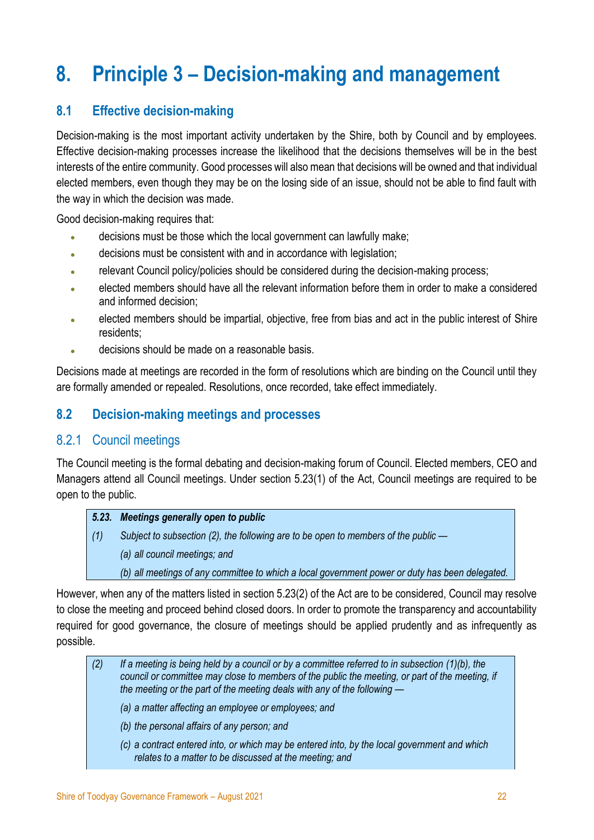# <span id="page-21-0"></span>**8. Principle 3 – Decision-making and management**

# <span id="page-21-1"></span>**8.1 Effective decision-making**

Decision-making is the most important activity undertaken by the Shire, both by Council and by employees. Effective decision-making processes increase the likelihood that the decisions themselves will be in the best interests of the entire community. Good processes will also mean that decisions will be owned and that individual elected members, even though they may be on the losing side of an issue, should not be able to find fault with the way in which the decision was made.

Good decision-making requires that:

- decisions must be those which the local government can lawfully make;
- decisions must be consistent with and in accordance with legislation;
- relevant Council policy/policies should be considered during the decision-making process;
- elected members should have all the relevant information before them in order to make a considered and informed decision;
- elected members should be impartial, objective, free from bias and act in the public interest of Shire residents;
- decisions should be made on a reasonable basis.

Decisions made at meetings are recorded in the form of resolutions which are binding on the Council until they are formally amended or repealed. Resolutions, once recorded, take effect immediately.

# <span id="page-21-2"></span>**8.2 Decision-making meetings and processes**

# <span id="page-21-3"></span>8.2.1 Council meetings

The Council meeting is the formal debating and decision-making forum of Council. Elected members, CEO and Managers attend all Council meetings. Under section 5.23(1) of the Act, Council meetings are required to be open to the public.

#### *5.23. Meetings generally open to public*

*(1) Subject to subsection (2), the following are to be open to members of the public — (a) all council meetings; and* 

*(b) all meetings of any committee to which a local government power or duty has been delegated.*

However, when any of the matters listed in section 5.23(2) of the Act are to be considered, Council may resolve to close the meeting and proceed behind closed doors. In order to promote the transparency and accountability required for good governance, the closure of meetings should be applied prudently and as infrequently as possible.

| If a meeting is being held by a council or by a committee referred to in subsection $(1)(b)$ , the<br>council or committee may close to members of the public the meeting, or part of the meeting, if<br>the meeting or the part of the meeting deals with any of the following $-$ |
|-------------------------------------------------------------------------------------------------------------------------------------------------------------------------------------------------------------------------------------------------------------------------------------|
| (a) a matter affecting an employee or employees; and                                                                                                                                                                                                                                |
| (b) the personal affairs of any person; and                                                                                                                                                                                                                                         |
| (c) a contract entered into, or which may be entered into, by the local government and which<br>relates to a matter to be discussed at the meeting; and                                                                                                                             |
|                                                                                                                                                                                                                                                                                     |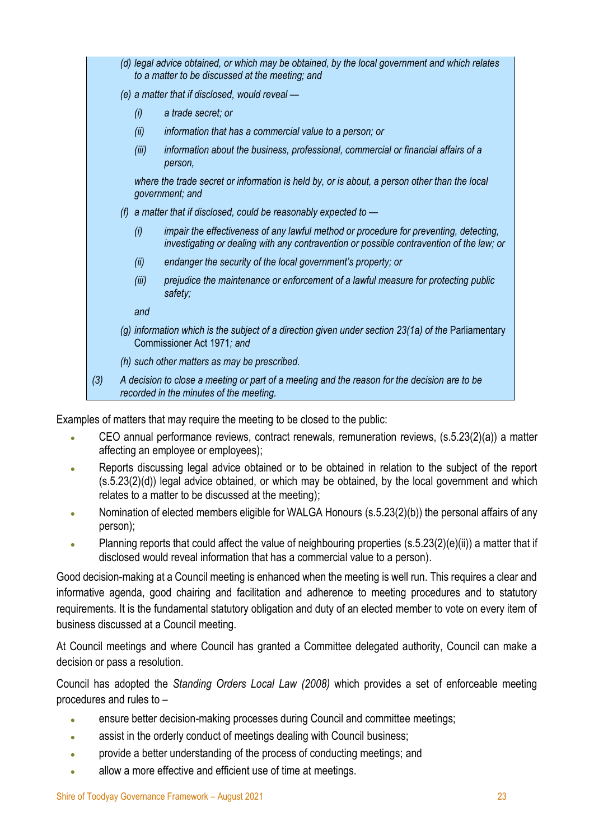|     |       | (d) legal advice obtained, or which may be obtained, by the local government and which relates<br>to a matter to be discussed at the meeting; and                                 |
|-----|-------|-----------------------------------------------------------------------------------------------------------------------------------------------------------------------------------|
|     |       | (e) a matter that if disclosed, would reveal —                                                                                                                                    |
|     | (i)   | a trade secret; or                                                                                                                                                                |
|     | (ii)  | information that has a commercial value to a person; or                                                                                                                           |
|     | (iii) | information about the business, professional, commercial or financial affairs of a<br>person,                                                                                     |
|     |       | where the trade secret or information is held by, or is about, a person other than the local<br>government; and                                                                   |
|     | (f)   | a matter that if disclosed, could be reasonably expected to -                                                                                                                     |
|     | (i)   | impair the effectiveness of any lawful method or procedure for preventing, detecting,<br>investigating or dealing with any contravention or possible contravention of the law; or |
|     | (ii)  | endanger the security of the local government's property; or                                                                                                                      |
|     | (iii) | prejudice the maintenance or enforcement of a lawful measure for protecting public<br>safety;                                                                                     |
|     | and   |                                                                                                                                                                                   |
|     |       | (g) information which is the subject of a direction given under section 23(1a) of the Parliamentary<br>Commissioner Act 1971; and                                                 |
|     |       | (h) such other matters as may be prescribed.                                                                                                                                      |
| (3) |       | A decision to close a meeting or part of a meeting and the reason for the decision are to be<br>recorded in the minutes of the meeting.                                           |

Examples of matters that may require the meeting to be closed to the public:

- CEO annual performance reviews, contract renewals, remuneration reviews, (s.5.23(2)(a)) a matter affecting an employee or employees);
- Reports discussing legal advice obtained or to be obtained in relation to the subject of the report (s.5.23(2)(d)) legal advice obtained, or which may be obtained, by the local government and which relates to a matter to be discussed at the meeting);
- Nomination of elected members eligible for WALGA Honours (s.5.23(2)(b)) the personal affairs of any person);
- Planning reports that could affect the value of neighbouring properties (s.5.23(2)(e)(ii)) a matter that if disclosed would reveal information that has a commercial value to a person).

Good decision-making at a Council meeting is enhanced when the meeting is well run. This requires a clear and informative agenda, good chairing and facilitation and adherence to meeting procedures and to statutory requirements. It is the fundamental statutory obligation and duty of an elected member to vote on every item of business discussed at a Council meeting.

At Council meetings and where Council has granted a Committee delegated authority, Council can make a decision or pass a resolution.

Council has adopted the *Standing Orders Local Law (2008)* which provides a set of enforceable meeting procedures and rules to –

- ensure better decision-making processes during Council and committee meetings;
- assist in the orderly conduct of meetings dealing with Council business;
- provide a better understanding of the process of conducting meetings; and
- allow a more effective and efficient use of time at meetings.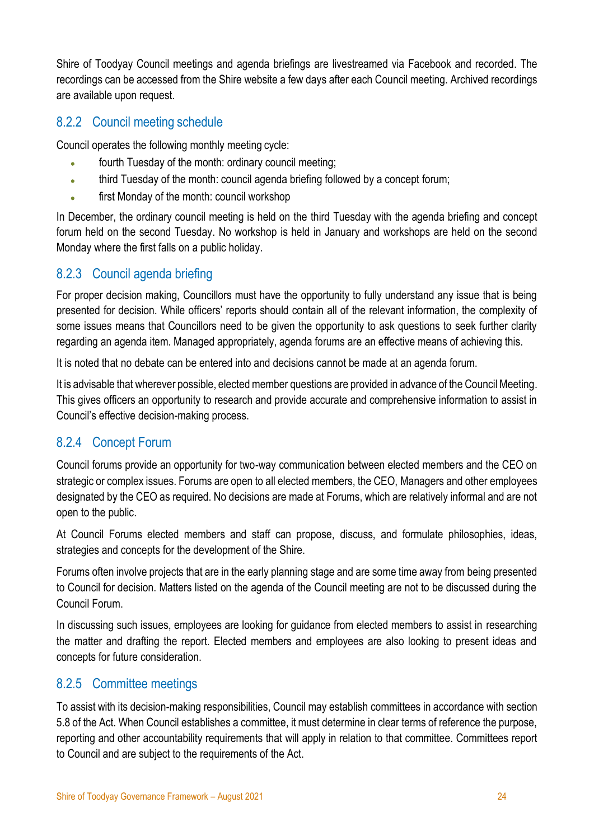Shire of Toodyay Council meetings and agenda briefings are livestreamed via Facebook and recorded. The recordings can be accessed from the Shire website a few days after each Council meeting. Archived recordings are available upon request.

# <span id="page-23-0"></span>8.2.2 Council meeting schedule

Council operates the following monthly meeting cycle:

- fourth Tuesday of the month: ordinary council meeting;
- third Tuesday of the month: council agenda briefing followed by a concept forum;
- first Monday of the month: council workshop

In December, the ordinary council meeting is held on the third Tuesday with the agenda briefing and concept forum held on the second Tuesday. No workshop is held in January and workshops are held on the second Monday where the first falls on a public holiday.

# <span id="page-23-1"></span>8.2.3 Council agenda briefing

For proper decision making, Councillors must have the opportunity to fully understand any issue that is being presented for decision. While officers' reports should contain all of the relevant information, the complexity of some issues means that Councillors need to be given the opportunity to ask questions to seek further clarity regarding an agenda item. Managed appropriately, agenda forums are an effective means of achieving this.

It is noted that no debate can be entered into and decisions cannot be made at an agenda forum.

It is advisable that wherever possible, elected member questions are provided in advance of the Council Meeting. This gives officers an opportunity to research and provide accurate and comprehensive information to assist in Council's effective decision-making process.

# <span id="page-23-2"></span>8.2.4 Concept Forum

Council forums provide an opportunity for two-way communication between elected members and the CEO on strategic or complex issues. Forums are open to all elected members, the CEO, Managers and other employees designated by the CEO as required. No decisions are made at Forums, which are relatively informal and are not open to the public.

At Council Forums elected members and staff can propose, discuss, and formulate philosophies, ideas, strategies and concepts for the development of the Shire.

Forums often involve projects that are in the early planning stage and are some time away from being presented to Council for decision. Matters listed on the agenda of the Council meeting are not to be discussed during the Council Forum.

In discussing such issues, employees are looking for guidance from elected members to assist in researching the matter and drafting the report. Elected members and employees are also looking to present ideas and concepts for future consideration.

# <span id="page-23-3"></span>8.2.5 Committee meetings

To assist with its decision-making responsibilities, Council may establish committees in accordance with section 5.8 of the Act. When Council establishes a committee, it must determine in clear terms of reference the purpose, reporting and other accountability requirements that will apply in relation to that committee. Committees report to Council and are subject to the requirements of the Act.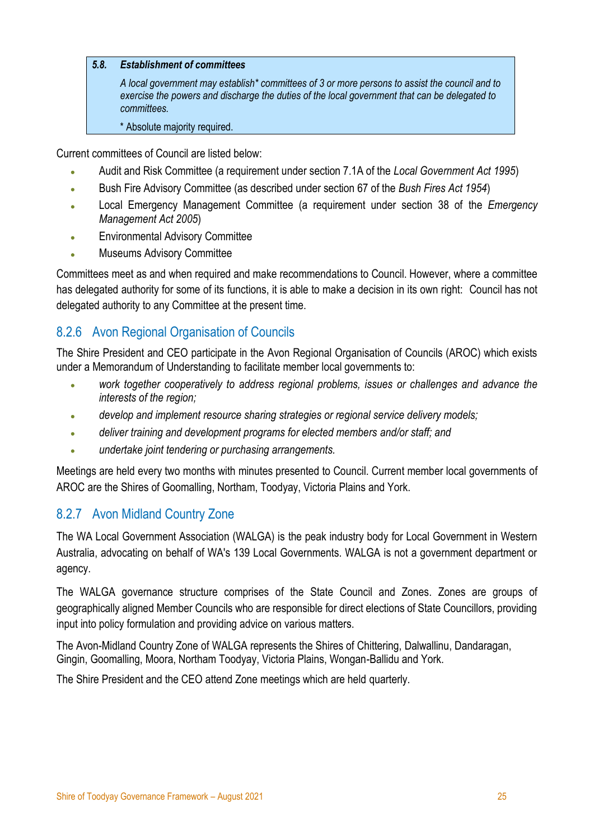#### *5.8. Establishment of committees*

*A local government may establish\* committees of 3 or more persons to assist the council and to exercise the powers and discharge the duties of the local government that can be delegated to committees.*

\* Absolute majority required.

Current committees of Council are listed below:

- Audit and Risk Committee (a requirement under section 7.1A of the *Local Government Act 1995*)
- Bush Fire Advisory Committee (as described under section 67 of the *Bush Fires Act 1954*)
- Local Emergency Management Committee (a requirement under section 38 of the *Emergency Management Act 2005*)
- Environmental Advisory Committee
- Museums Advisory Committee

Committees meet as and when required and make recommendations to Council. However, where a committee has delegated authority for some of its functions, it is able to make a decision in its own right: Council has not delegated authority to any Committee at the present time.

# <span id="page-24-0"></span>8.2.6 Avon Regional Organisation of Councils

The Shire President and CEO participate in the Avon Regional Organisation of Councils (AROC) which exists under a Memorandum of Understanding to facilitate member local governments to:

- *work together cooperatively to address regional problems, issues or challenges and advance the interests of the region;*
- *develop and implement resource sharing strategies or regional service delivery models;*
- *deliver training and development programs for elected members and/or staff; and*
- *undertake joint tendering or purchasing arrangements.*

Meetings are held every two months with minutes presented to Council. Current member local governments of AROC are the Shires of Goomalling, Northam, Toodyay, Victoria Plains and York.

# <span id="page-24-1"></span>8.2.7 Avon Midland Country Zone

The WA Local Government Association (WALGA) is the peak industry body for Local Government in Western Australia, advocating on behalf of WA's 139 Local Governments. WALGA is not a government department or agency.

The WALGA governance structure comprises of the State Council and Zones. Zones are groups of geographically aligned Member Councils who are responsible for direct elections of State Councillors, providing input into policy formulation and providing advice on various matters.

The Avon-Midland Country Zone of WALGA represents the Shires of Chittering, Dalwallinu, Dandaragan, Gingin, Goomalling, Moora, Northam Toodyay, Victoria Plains, Wongan-Ballidu and York.

The Shire President and the CEO attend Zone meetings which are held quarterly.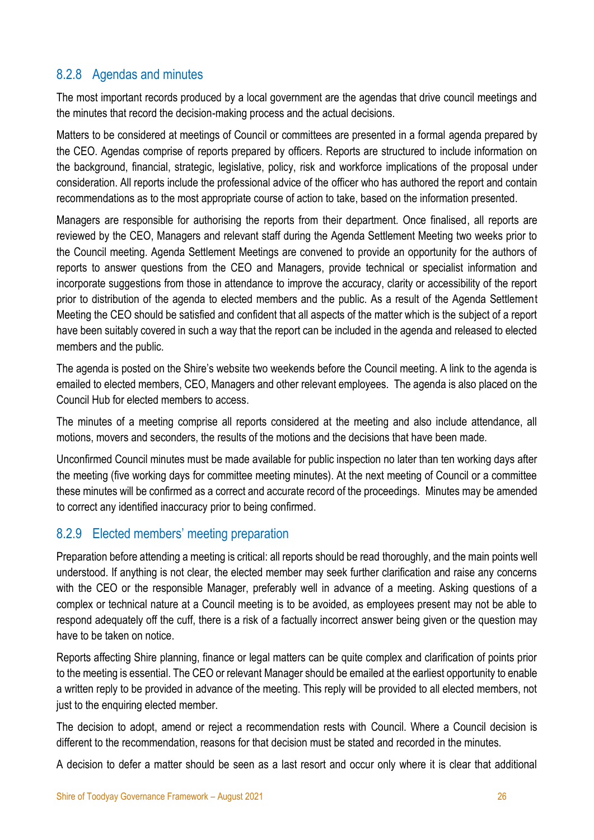# <span id="page-25-0"></span>8.2.8 Agendas and minutes

The most important records produced by a local government are the agendas that drive council meetings and the minutes that record the decision-making process and the actual decisions.

Matters to be considered at meetings of Council or committees are presented in a formal agenda prepared by the CEO. Agendas comprise of reports prepared by officers. Reports are structured to include information on the background, financial, strategic, legislative, policy, risk and workforce implications of the proposal under consideration. All reports include the professional advice of the officer who has authored the report and contain recommendations as to the most appropriate course of action to take, based on the information presented.

Managers are responsible for authorising the reports from their department. Once finalised, all reports are reviewed by the CEO, Managers and relevant staff during the Agenda Settlement Meeting two weeks prior to the Council meeting. Agenda Settlement Meetings are convened to provide an opportunity for the authors of reports to answer questions from the CEO and Managers, provide technical or specialist information and incorporate suggestions from those in attendance to improve the accuracy, clarity or accessibility of the report prior to distribution of the agenda to elected members and the public. As a result of the Agenda Settlement Meeting the CEO should be satisfied and confident that all aspects of the matter which is the subject of a report have been suitably covered in such a way that the report can be included in the agenda and released to elected members and the public.

The agenda is posted on the Shire's website two weekends before the Council meeting. A link to the agenda is emailed to elected members, CEO, Managers and other relevant employees. The agenda is also placed on the Council Hub for elected members to access.

The minutes of a meeting comprise all reports considered at the meeting and also include attendance, all motions, movers and seconders, the results of the motions and the decisions that have been made.

Unconfirmed Council minutes must be made available for public inspection no later than ten working days after the meeting (five working days for committee meeting minutes). At the next meeting of Council or a committee these minutes will be confirmed as a correct and accurate record of the proceedings. Minutes may be amended to correct any identified inaccuracy prior to being confirmed.

# <span id="page-25-1"></span>8.2.9 Elected members' meeting preparation

Preparation before attending a meeting is critical: all reports should be read thoroughly, and the main points well understood. If anything is not clear, the elected member may seek further clarification and raise any concerns with the CEO or the responsible Manager, preferably well in advance of a meeting. Asking questions of a complex or technical nature at a Council meeting is to be avoided, as employees present may not be able to respond adequately off the cuff, there is a risk of a factually incorrect answer being given or the question may have to be taken on notice.

Reports affecting Shire planning, finance or legal matters can be quite complex and clarification of points prior to the meeting is essential. The CEO or relevant Manager should be emailed at the earliest opportunity to enable a written reply to be provided in advance of the meeting. This reply will be provided to all elected members, not just to the enquiring elected member.

The decision to adopt, amend or reject a recommendation rests with Council. Where a Council decision is different to the recommendation, reasons for that decision must be stated and recorded in the minutes.

A decision to defer a matter should be seen as a last resort and occur only where it is clear that additional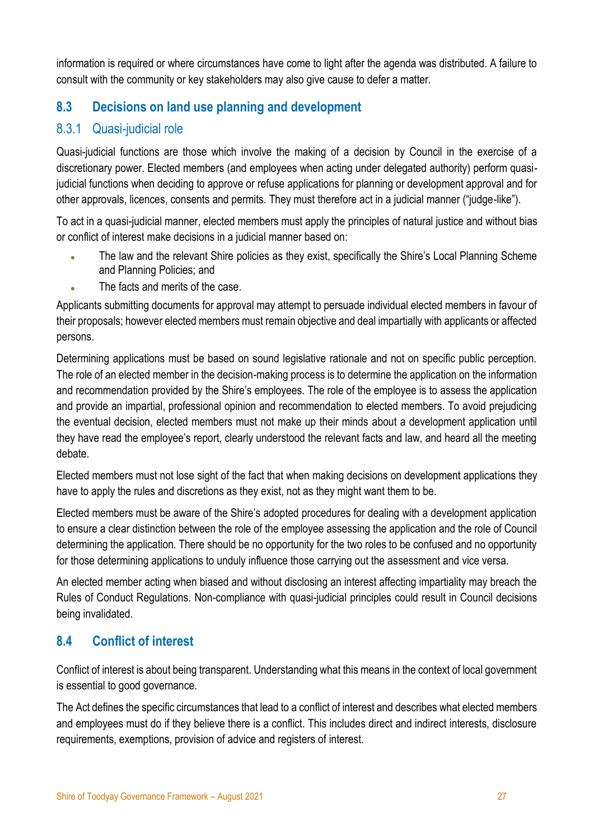information is required or where circumstances have come to light after the agenda was distributed. A failure to consult with the community or key stakeholders may also give cause to defer a matter.

# <span id="page-26-0"></span>**8.3 Decisions on land use planning and development**

# <span id="page-26-1"></span>8.3.1 Quasi-judicial role

Quasi-judicial functions are those which involve the making of a decision by Council in the exercise of a discretionary power. Elected members (and employees when acting under delegated authority) perform quasijudicial functions when deciding to approve or refuse applications for planning or development approval and for other approvals, licences, consents and permits. They must therefore act in a judicial manner ("judge-like").

To act in a quasi-judicial manner, elected members must apply the principles of natural justice and without bias or conflict of interest make decisions in a judicial manner based on:

- The law and the relevant Shire policies as they exist, specifically the Shire's Local Planning Scheme and Planning Policies; and
- The facts and merits of the case.

Applicants submitting documents for approval may attempt to persuade individual elected members in favour of their proposals; however elected members must remain objective and deal impartially with applicants or affected persons.

Determining applications must be based on sound legislative rationale and not on specific public perception. The role of an elected member in the decision-making process is to determine the application on the information and recommendation provided by the Shire's employees. The role of the employee is to assess the application and provide an impartial, professional opinion and recommendation to elected members. To avoid prejudicing the eventual decision, elected members must not make up their minds about a development application until they have read the employee's report, clearly understood the relevant facts and law, and heard all the meeting debate.

Elected members must not lose sight of the fact that when making decisions on development applications they have to apply the rules and discretions as they exist, not as they might want them to be.

Elected members must be aware of the Shire's adopted procedures for dealing with a development application to ensure a clear distinction between the role of the employee assessing the application and the role of Council determining the application. There should be no opportunity for the two roles to be confused and no opportunity for those determining applications to unduly influence those carrying out the assessment and vice versa.

An elected member acting when biased and without disclosing an interest affecting impartiality may breach the Rules of Conduct Regulations. Non-compliance with quasi-judicial principles could result in Council decisions being invalidated.

# <span id="page-26-2"></span>**8.4 Conflict of interest**

Conflict of interest is about being transparent. Understanding what this means in the context of local government is essential to good governance.

The Act defines the specific circumstances that lead to a conflict of interest and describes what elected members and employees must do if they believe there is a conflict. This includes direct and indirect interests, disclosure requirements, exemptions, provision of advice and registers of interest.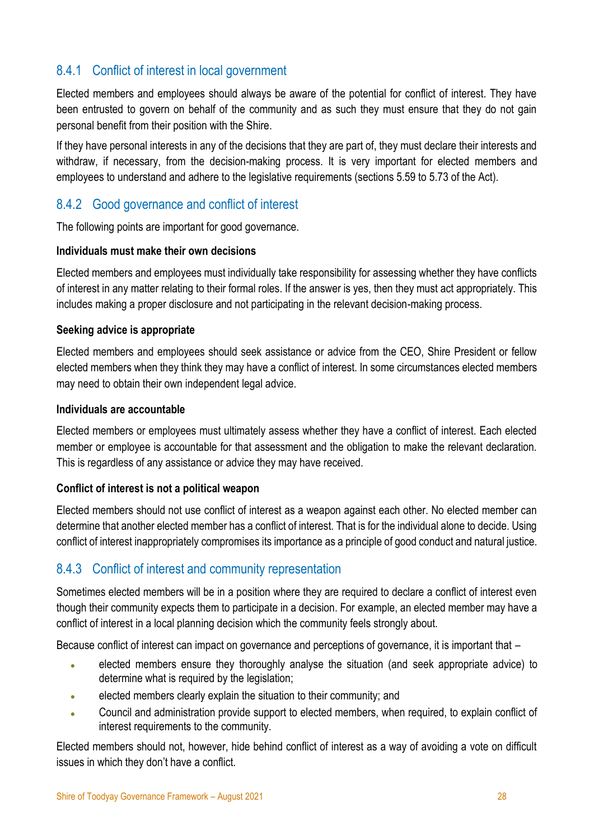# <span id="page-27-0"></span>8.4.1 Conflict of interest in local government

Elected members and employees should always be aware of the potential for conflict of interest. They have been entrusted to govern on behalf of the community and as such they must ensure that they do not gain personal benefit from their position with the Shire.

If they have personal interests in any of the decisions that they are part of, they must declare their interests and withdraw, if necessary, from the decision-making process. It is very important for elected members and employees to understand and adhere to the legislative requirements (sections 5.59 to 5.73 of the Act).

# <span id="page-27-1"></span>8.4.2 Good governance and conflict of interest

The following points are important for good governance.

#### **Individuals must make their own decisions**

Elected members and employees must individually take responsibility for assessing whether they have conflicts of interest in any matter relating to their formal roles. If the answer is yes, then they must act appropriately. This includes making a proper disclosure and not participating in the relevant decision-making process.

#### **Seeking advice is appropriate**

Elected members and employees should seek assistance or advice from the CEO, Shire President or fellow elected members when they think they may have a conflict of interest. In some circumstances elected members may need to obtain their own independent legal advice.

#### **Individuals are accountable**

Elected members or employees must ultimately assess whether they have a conflict of interest. Each elected member or employee is accountable for that assessment and the obligation to make the relevant declaration. This is regardless of any assistance or advice they may have received.

#### **Conflict of interest is not a political weapon**

Elected members should not use conflict of interest as a weapon against each other. No elected member can determine that another elected member has a conflict of interest. That is for the individual alone to decide. Using conflict of interest inappropriately compromises its importance as a principle of good conduct and natural justice.

# <span id="page-27-2"></span>8.4.3 Conflict of interest and community representation

Sometimes elected members will be in a position where they are required to declare a conflict of interest even though their community expects them to participate in a decision. For example, an elected member may have a conflict of interest in a local planning decision which the community feels strongly about.

Because conflict of interest can impact on governance and perceptions of governance, it is important that –

- elected members ensure they thoroughly analyse the situation (and seek appropriate advice) to determine what is required by the legislation;
- elected members clearly explain the situation to their community; and
- Council and administration provide support to elected members, when required, to explain conflict of interest requirements to the community.

Elected members should not, however, hide behind conflict of interest as a way of avoiding a vote on difficult issues in which they don't have a conflict.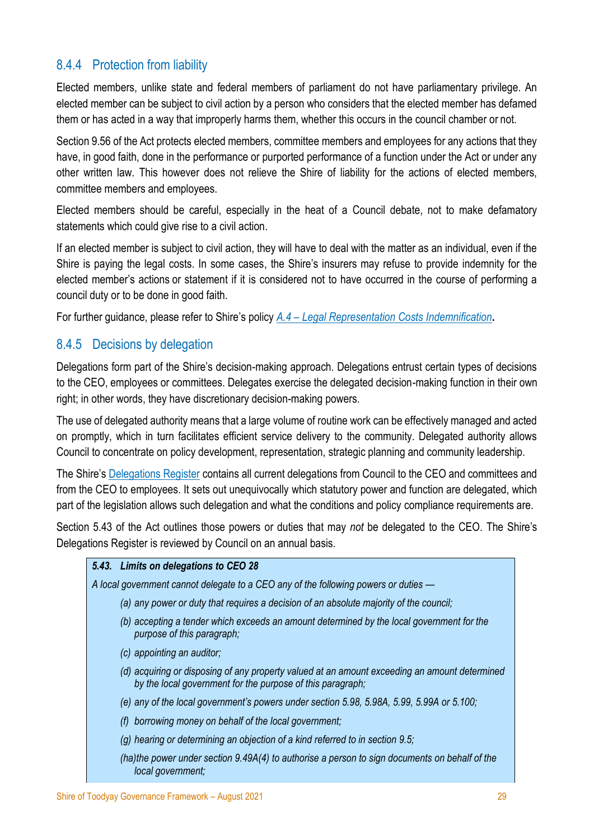# <span id="page-28-0"></span>8.4.4 Protection from liability

Elected members, unlike state and federal members of parliament do not have parliamentary privilege. An elected member can be subject to civil action by a person who considers that the elected member has defamed them or has acted in a way that improperly harms them, whether this occurs in the council chamber or not.

Section 9.56 of the Act protects elected members, committee members and employees for any actions that they have, in good faith, done in the performance or purported performance of a function under the Act or under any other written law. This however does not relieve the Shire of liability for the actions of elected members, committee members and employees.

Elected members should be careful, especially in the heat of a Council debate, not to make defamatory statements which could give rise to a civil action.

If an elected member is subject to civil action, they will have to deal with the matter as an individual, even if the Shire is paying the legal costs. In some cases, the Shire's insurers may refuse to provide indemnity for the elected member's actions or statement if it is considered not to have occurred in the course of performing a council duty or to be done in good faith.

For further guidance, please refer to Shire's policy *A.4 – [Legal Representation Costs Indemnification](https://www.toodyay.wa.gov.au/documents/117/a4-legal-representation-costs-indemnification)***.**

### <span id="page-28-1"></span>8.4.5 Decisions by delegation

Delegations form part of the Shire's decision-making approach. Delegations entrust certain types of decisions to the CEO, employees or committees. Delegates exercise the delegated decision-making function in their own right; in other words, they have discretionary decision-making powers.

The use of delegated authority means that a large volume of routine work can be effectively managed and acted on promptly, which in turn facilitates efficient service delivery to the community. Delegated authority allows Council to concentrate on policy development, representation, strategic planning and community leadership.

The Shire's [Delegations Register](https://www.toodyay.wa.gov.au/Profiles/toodyay/Assets/ClientData/Documents/Council_Registers/Delegation_Register__Adopted_June_2021_.pdf) contains all current delegations from Council to the CEO and committees and from the CEO to employees. It sets out unequivocally which statutory power and function are delegated, which part of the legislation allows such delegation and what the conditions and policy compliance requirements are.

Section 5.43 of the Act outlines those powers or duties that may *not* be delegated to the CEO. The Shire's Delegations Register is reviewed by Council on an annual basis.

#### *5.43. Limits on delegations to CEO 28*

*A local government cannot delegate to a CEO any of the following powers or duties —*

- *(a) any power or duty that requires a decision of an absolute majority of the council;*
- *(b) accepting a tender which exceeds an amount determined by the local government for the purpose of this paragraph;*
- *(c) appointing an auditor;*
- *(d) acquiring or disposing of any property valued at an amount exceeding an amount determined by the local government for the purpose of this paragraph;*
- *(e) any of the local government's powers under section 5.98, 5.98A, 5.99, 5.99A or 5.100;*
- *(f) borrowing money on behalf of the local government;*
- *(g) hearing or determining an objection of a kind referred to in section 9.5;*
- *(ha)the power under section 9.49A(4) to authorise a person to sign documents on behalf of the local government;*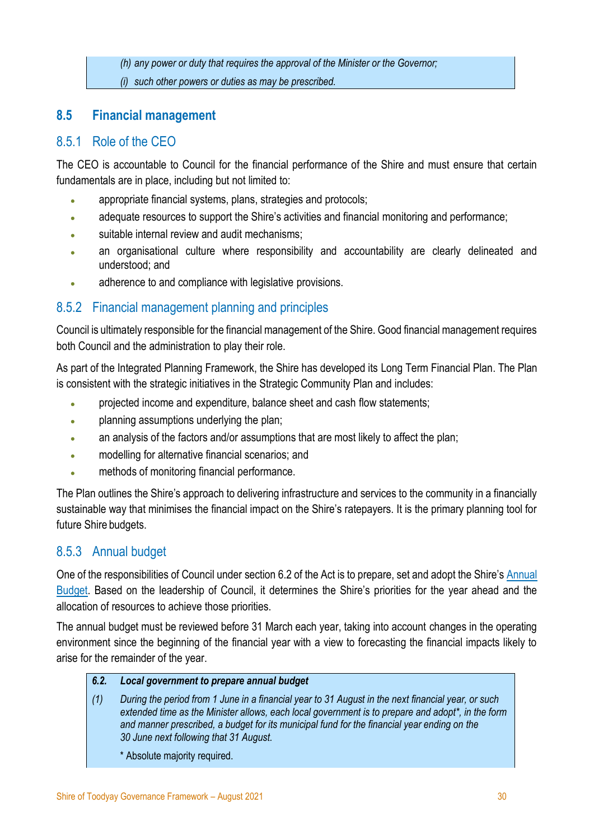*(h) any power or duty that requires the approval of the Minister or the Governor;*

*(i) such other powers or duties as may be prescribed.*

# <span id="page-29-0"></span>**8.5 Financial management**

# <span id="page-29-1"></span>8.5.1 Role of the CEO

The CEO is accountable to Council for the financial performance of the Shire and must ensure that certain fundamentals are in place, including but not limited to:

- appropriate financial systems, plans, strategies and protocols;
- adequate resources to support the Shire's activities and financial monitoring and performance;
- suitable internal review and audit mechanisms;
- an organisational culture where responsibility and accountability are clearly delineated and understood; and
- adherence to and compliance with legislative provisions.

# <span id="page-29-2"></span>8.5.2 Financial management planning and principles

Council is ultimately responsible for the financial management of the Shire. Good financial management requires both Council and the administration to play their role.

As part of the Integrated Planning Framework, the Shire has developed its Long Term Financial Plan. The Plan is consistent with the strategic initiatives in the Strategic Community Plan and includes:

- projected income and expenditure, balance sheet and cash flow statements;
- planning assumptions underlying the plan;
- an analysis of the factors and/or assumptions that are most likely to affect the plan;
- modelling for alternative financial scenarios; and
- methods of monitoring financial performance.

The Plan outlines the Shire's approach to delivering infrastructure and services to the community in a financially sustainable way that minimises the financial impact on the Shire's ratepayers. It is the primary planning tool for future Shire budgets.

# <span id="page-29-3"></span>8.5.3 Annual budget

One of the responsibilities of Council under section 6.2 of the Act is to prepare, set and adopt the Shire's [Annual](https://www.toodyay.wa.gov.au/documents/42/2020-2021-annual-budget)  [Budget.](https://www.toodyay.wa.gov.au/documents/42/2020-2021-annual-budget) Based on the leadership of Council, it determines the Shire's priorities for the year ahead and the allocation of resources to achieve those priorities.

The annual budget must be reviewed before 31 March each year, taking into account changes in the operating environment since the beginning of the financial year with a view to forecasting the financial impacts likely to arise for the remainder of the year.

#### *6.2. Local government to prepare annual budget*

- *(1) During the period from 1 June in a financial year to 31 August in the next financial year, or such extended time as the Minister allows, each local government is to prepare and adopt\*, in the form and manner prescribed, a budget for its municipal fund for the financial year ending on the 30 June next following that 31 August.*
	- \* Absolute majority required.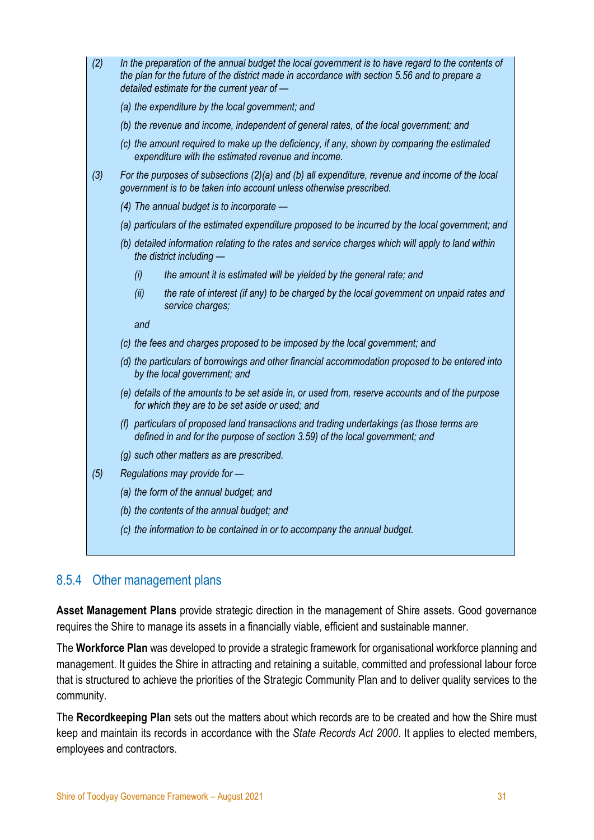| (2) | In the preparation of the annual budget the local government is to have regard to the contents of<br>the plan for the future of the district made in accordance with section 5.56 and to prepare a<br>detailed estimate for the current year of - |
|-----|---------------------------------------------------------------------------------------------------------------------------------------------------------------------------------------------------------------------------------------------------|
|     | (a) the expenditure by the local government; and                                                                                                                                                                                                  |
|     | (b) the revenue and income, independent of general rates, of the local government; and                                                                                                                                                            |
|     | (c) the amount required to make up the deficiency, if any, shown by comparing the estimated<br>expenditure with the estimated revenue and income.                                                                                                 |
| (3) | For the purposes of subsections $(2)(a)$ and $(b)$ all expenditure, revenue and income of the local<br>government is to be taken into account unless otherwise prescribed.                                                                        |
|     | (4) The annual budget is to incorporate $-$                                                                                                                                                                                                       |
|     | (a) particulars of the estimated expenditure proposed to be incurred by the local government; and                                                                                                                                                 |
|     | (b) detailed information relating to the rates and service charges which will apply to land within<br>the district including -                                                                                                                    |
|     | the amount it is estimated will be yielded by the general rate; and<br>(i)                                                                                                                                                                        |
|     | (ii)<br>the rate of interest (if any) to be charged by the local government on unpaid rates and<br>service charges;                                                                                                                               |
|     | and                                                                                                                                                                                                                                               |
|     | (c) the fees and charges proposed to be imposed by the local government; and                                                                                                                                                                      |
|     | (d) the particulars of borrowings and other financial accommodation proposed to be entered into<br>by the local government; and                                                                                                                   |
|     | (e) details of the amounts to be set aside in, or used from, reserve accounts and of the purpose<br>for which they are to be set aside or used; and                                                                                               |
|     | (f) particulars of proposed land transactions and trading undertakings (as those terms are<br>defined in and for the purpose of section 3.59) of the local government; and                                                                        |
|     | (g) such other matters as are prescribed.                                                                                                                                                                                                         |
| (5) | Regulations may provide for -                                                                                                                                                                                                                     |
|     | (a) the form of the annual budget; and                                                                                                                                                                                                            |
|     | (b) the contents of the annual budget; and                                                                                                                                                                                                        |
|     | (c) the information to be contained in or to accompany the annual budget.                                                                                                                                                                         |
|     |                                                                                                                                                                                                                                                   |

# <span id="page-30-0"></span>8.5.4 Other management plans

**Asset Management Plans** provide strategic direction in the management of Shire assets. Good governance requires the Shire to manage its assets in a financially viable, efficient and sustainable manner.

The **Workforce Plan** was developed to provide a strategic framework for organisational workforce planning and management. It guides the Shire in attracting and retaining a suitable, committed and professional labour force that is structured to achieve the priorities of the Strategic Community Plan and to deliver quality services to the community.

The **Recordkeeping Plan** sets out the matters about which records are to be created and how the Shire must keep and maintain its records in accordance with the *State Records Act 2000*. It applies to elected members, employees and contractors.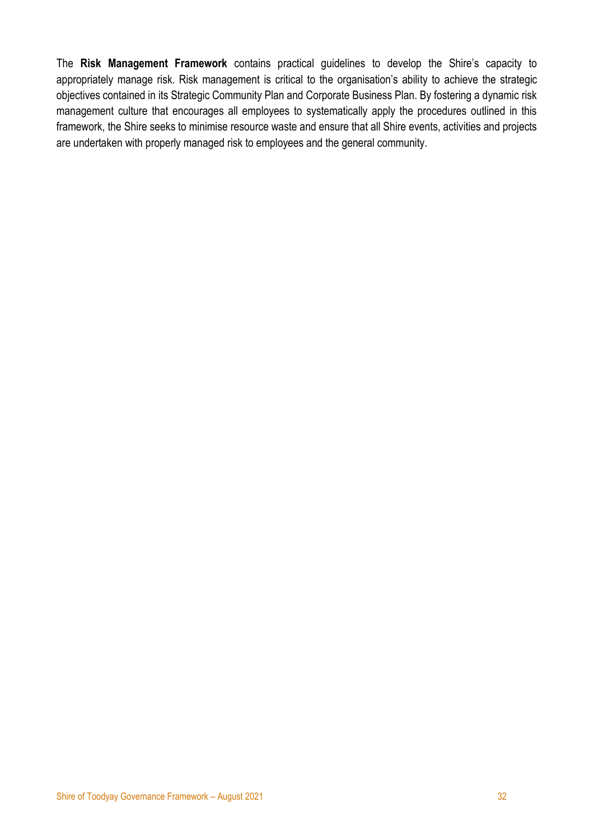The **Risk Management Framework** contains practical guidelines to develop the Shire's capacity to appropriately manage risk. Risk management is critical to the organisation's ability to achieve the strategic objectives contained in its Strategic Community Plan and Corporate Business Plan. By fostering a dynamic risk management culture that encourages all employees to systematically apply the procedures outlined in this framework, the Shire seeks to minimise resource waste and ensure that all Shire events, activities and projects are undertaken with properly managed risk to employees and the general community.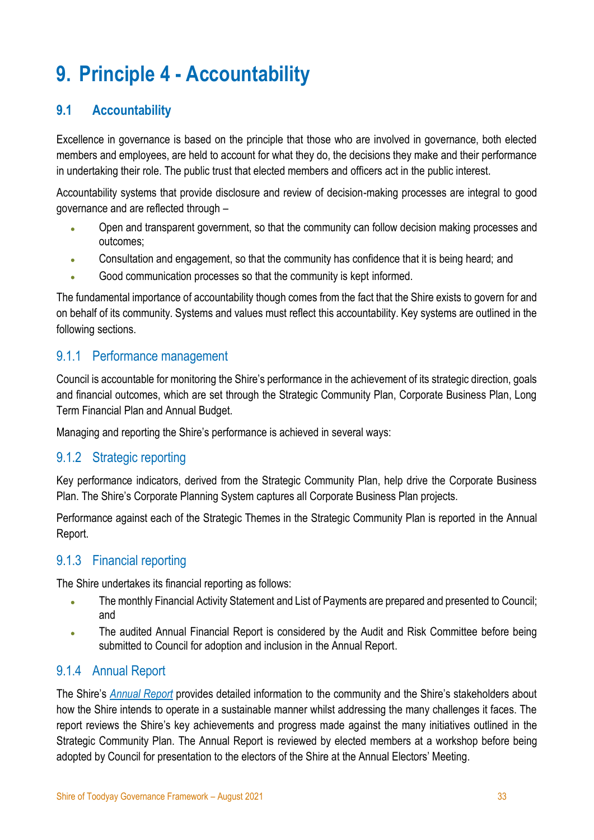# <span id="page-32-0"></span>**9. Principle 4 - Accountability**

# <span id="page-32-1"></span>**9.1 Accountability**

Excellence in governance is based on the principle that those who are involved in governance, both elected members and employees, are held to account for what they do, the decisions they make and their performance in undertaking their role. The public trust that elected members and officers act in the public interest.

Accountability systems that provide disclosure and review of decision-making processes are integral to good governance and are reflected through –

- Open and transparent government, so that the community can follow decision making processes and outcomes;
- Consultation and engagement, so that the community has confidence that it is being heard; and
- Good communication processes so that the community is kept informed.

The fundamental importance of accountability though comes from the fact that the Shire exists to govern for and on behalf of its community. Systems and values must reflect this accountability. Key systems are outlined in the following sections.

# <span id="page-32-2"></span>9.1.1 Performance management

Council is accountable for monitoring the Shire's performance in the achievement of its strategic direction, goals and financial outcomes, which are set through the Strategic Community Plan, Corporate Business Plan, Long Term Financial Plan and Annual Budget.

Managing and reporting the Shire's performance is achieved in several ways:

# <span id="page-32-3"></span>9.1.2 Strategic reporting

Key performance indicators, derived from the Strategic Community Plan, help drive the Corporate Business Plan. The Shire's Corporate Planning System captures all Corporate Business Plan projects.

Performance against each of the Strategic Themes in the Strategic Community Plan is reported in the Annual Report.

# <span id="page-32-4"></span>9.1.3 Financial reporting

The Shire undertakes its financial reporting as follows:

- The monthly Financial Activity Statement and List of Payments are prepared and presented to Council; and
- The audited Annual Financial Report is considered by the Audit and Risk Committee before being submitted to Council for adoption and inclusion in the Annual Report.

# 9.1.4 Annual Report

The Shire's *[Annual Report](https://www.toodyay.wa.gov.au/documents/263/2019-2020-annual-report-adopted)* provides detailed information to the community and the Shire's stakeholders about how the Shire intends to operate in a sustainable manner whilst addressing the many challenges it faces. The report reviews the Shire's key achievements and progress made against the many initiatives outlined in the Strategic Community Plan. The Annual Report is reviewed by elected members at a workshop before being adopted by Council for presentation to the electors of the Shire at the Annual Electors' Meeting.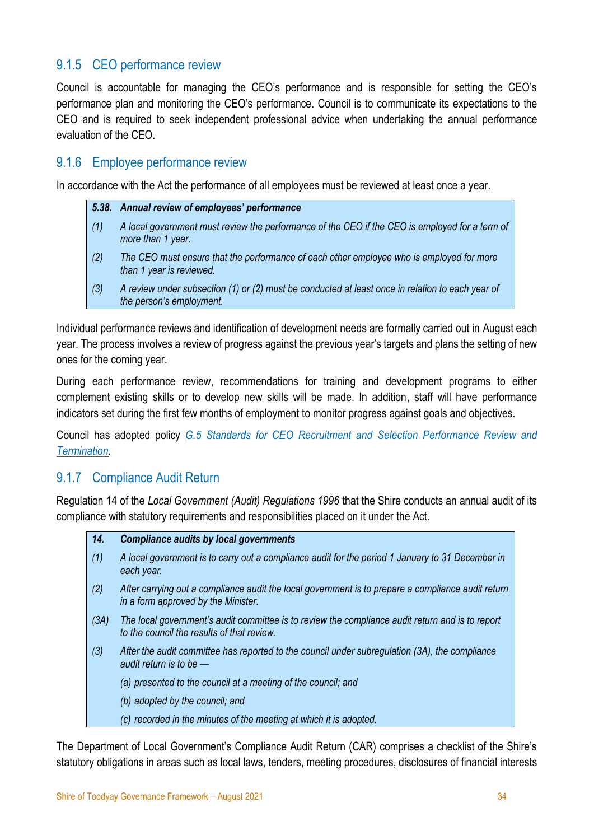# <span id="page-33-0"></span>9.1.5 CEO performance review

Council is accountable for managing the CEO's performance and is responsible for setting the CEO's performance plan and monitoring the CEO's performance. Council is to communicate its expectations to the CEO and is required to seek independent professional advice when undertaking the annual performance evaluation of the CEO.

# <span id="page-33-1"></span>9.1.6 Employee performance review

In accordance with the Act the performance of all employees must be reviewed at least once a year.

|     | 5.38. Annual review of employees' performance                                                                                |
|-----|------------------------------------------------------------------------------------------------------------------------------|
| (1) | A local government must review the performance of the CEO if the CEO is employed for a term of<br>more than 1 year.          |
| (2) | The CEO must ensure that the performance of each other employee who is employed for more<br>than 1 year is reviewed.         |
| (3) | A review under subsection (1) or (2) must be conducted at least once in relation to each year of<br>the person's employment. |

Individual performance reviews and identification of development needs are formally carried out in August each year. The process involves a review of progress against the previous year's targets and plans the setting of new ones for the coming year.

During each performance review, recommendations for training and development programs to either complement existing skills or to develop new skills will be made. In addition, staff will have performance indicators set during the first few months of employment to monitor progress against goals and objectives.

Council has adopted policy *[G.5 Standards for CEO Recruitment and Selection Performance Review and](https://www.toodyay.wa.gov.au/documents/293/g5-standards-for-ceo-recruitment-and-selection-performance-review-and-termination)  [Termination.](https://www.toodyay.wa.gov.au/documents/293/g5-standards-for-ceo-recruitment-and-selection-performance-review-and-termination)*

# <span id="page-33-2"></span>9.1.7 Compliance Audit Return

Regulation 14 of the *Local Government (Audit) Regulations 1996* that the Shire conducts an annual audit of its compliance with statutory requirements and responsibilities placed on it under the Act.

- *14. Compliance audits by local governments (1) A local government is to carry out a compliance audit for the period 1 January to 31 December in each year. (2) After carrying out a compliance audit the local government is to prepare a compliance audit return in a form approved by the Minister. (3A) The local government's audit committee is to review the compliance audit return and is to report to the council the results of that review. (3) After the audit committee has reported to the council under subregulation (3A), the compliance audit return is to be — (a) presented to the council at a meeting of the council; and*
	- *(b) adopted by the council; and*
	- *(c) recorded in the minutes of the meeting at which it is adopted.*

The Department of Local Government's Compliance Audit Return (CAR) comprises a checklist of the Shire's statutory obligations in areas such as local laws, tenders, meeting procedures, disclosures of financial interests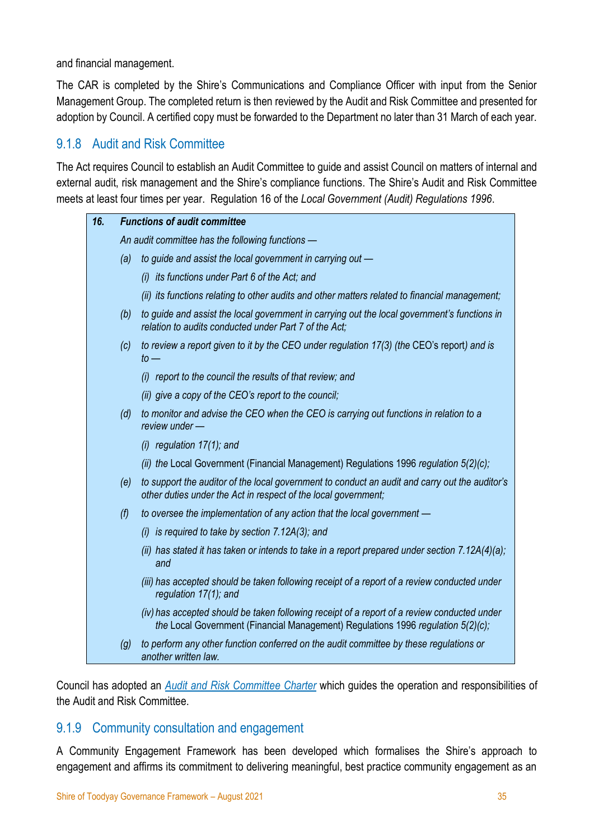and financial management.

The CAR is completed by the Shire's Communications and Compliance Officer with input from the Senior Management Group. The completed return is then reviewed by the Audit and Risk Committee and presented for adoption by Council. A certified copy must be forwarded to the Department no later than 31 March of each year.

# <span id="page-34-0"></span>9.1.8 Audit and Risk Committee

The Act requires Council to establish an Audit Committee to guide and assist Council on matters of internal and external audit, risk management and the Shire's compliance functions. The Shire's Audit and Risk Committee meets at least four times per year. Regulation 16 of the *Local Government (Audit) Regulations 1996*.

| 16. | <b>Functions of audit committee</b>                                                                  |                                                                                                                                                                                 |  |  |  |  |  |
|-----|------------------------------------------------------------------------------------------------------|---------------------------------------------------------------------------------------------------------------------------------------------------------------------------------|--|--|--|--|--|
|     | An audit committee has the following functions -                                                     |                                                                                                                                                                                 |  |  |  |  |  |
|     | (a)                                                                                                  | to guide and assist the local government in carrying out -                                                                                                                      |  |  |  |  |  |
|     |                                                                                                      | (i) its functions under Part 6 of the Act; and                                                                                                                                  |  |  |  |  |  |
|     |                                                                                                      | (ii) its functions relating to other audits and other matters related to financial management;                                                                                  |  |  |  |  |  |
|     | (b)                                                                                                  | to guide and assist the local government in carrying out the local government's functions in<br>relation to audits conducted under Part 7 of the Act;                           |  |  |  |  |  |
|     | to review a report given to it by the CEO under regulation 17(3) (the CEO's report) and is<br>$to -$ |                                                                                                                                                                                 |  |  |  |  |  |
|     |                                                                                                      | (i) report to the council the results of that review; and                                                                                                                       |  |  |  |  |  |
|     |                                                                                                      | (ii) give a copy of the CEO's report to the council;                                                                                                                            |  |  |  |  |  |
|     | (d)                                                                                                  | to monitor and advise the CEO when the CEO is carrying out functions in relation to a<br>review under -                                                                         |  |  |  |  |  |
|     |                                                                                                      | $(i)$ regulation 17(1); and                                                                                                                                                     |  |  |  |  |  |
|     |                                                                                                      | (ii) the Local Government (Financial Management) Regulations 1996 regulation 5(2)(c);                                                                                           |  |  |  |  |  |
|     | (e)                                                                                                  | to support the auditor of the local government to conduct an audit and carry out the auditor's<br>other duties under the Act in respect of the local government;                |  |  |  |  |  |
|     | (f)                                                                                                  | to oversee the implementation of any action that the local government -                                                                                                         |  |  |  |  |  |
|     |                                                                                                      | $(i)$ is required to take by section 7.12A $(3)$ ; and                                                                                                                          |  |  |  |  |  |
|     |                                                                                                      | (ii) has stated it has taken or intends to take in a report prepared under section 7.12A(4)(a);<br>and                                                                          |  |  |  |  |  |
|     |                                                                                                      | (iii) has accepted should be taken following receipt of a report of a review conducted under<br>regulation 17(1); and                                                           |  |  |  |  |  |
|     |                                                                                                      | (iv) has accepted should be taken following receipt of a report of a review conducted under<br>the Local Government (Financial Management) Regulations 1996 regulation 5(2)(c); |  |  |  |  |  |
|     | (g)                                                                                                  | to perform any other function conferred on the audit committee by these regulations or<br>another written law.                                                                  |  |  |  |  |  |

Council has adopted an *[Audit and Risk Committee Charter](https://www.toodyay.wa.gov.au/Profiles/toodyay/Assets/ClientData/Documents/Page_Centre/20042021104418-0001.pdf)* which guides the operation and responsibilities of the Audit and Risk Committee.

#### <span id="page-34-1"></span>9.1.9 Community consultation and engagement

A Community Engagement Framework has been developed which formalises the Shire's approach to engagement and affirms its commitment to delivering meaningful, best practice community engagement as an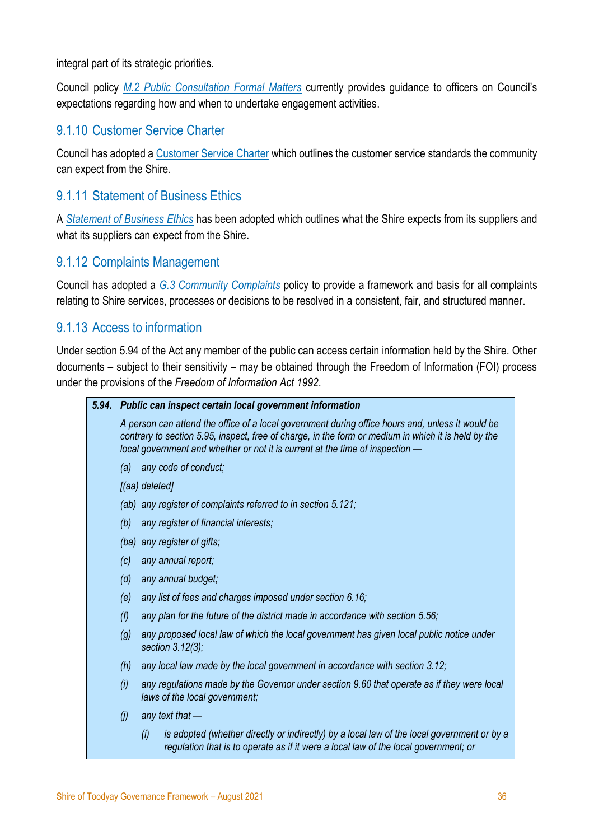integral part of its strategic priorities.

Council policy *[M.2 Public Consultation Formal Matters](https://www.toodyay.wa.gov.au/documents/170/m2-public-consultation-formal-matters-policypdf)* currently provides guidance to officers on Council's expectations regarding how and when to undertake engagement activities.

# <span id="page-35-0"></span>9.1.10 Customer Service Charter

Council has adopted a [Customer Service Charter](https://www.toodyay.wa.gov.au/documents/48/customer-service-charter) which outlines the customer service standards the community can expect from the Shire.

# <span id="page-35-1"></span>9.1.11 Statement of Business Ethics

A *[Statement of Business Ethics](https://www.toodyay.wa.gov.au/documents/300/statement-of-business-ethics)* has been adopted which outlines what the Shire expects from its suppliers and what its suppliers can expect from the Shire.

# <span id="page-35-2"></span>9.1.12 Complaints Management

Council has adopted a *[G.3 Community Complaints](https://www.toodyay.wa.gov.au/documents/285/g3-community-complaints-policy)* policy to provide a framework and basis for all complaints relating to Shire services, processes or decisions to be resolved in a consistent, fair, and structured manner.

### <span id="page-35-3"></span>9.1.13 Access to information

Under section 5.94 of the Act any member of the public can access certain information held by the Shire. Other documents – subject to their sensitivity – may be obtained through the Freedom of Information (FOI) process under the provisions of the *Freedom of Information Act 1992*.

#### *5.94. Public can inspect certain local government information*

*A person can attend the office of a local government during office hours and, unless it would be contrary to section 5.95, inspect, free of charge, in the form or medium in which it is held by the local government and whether or not it is current at the time of inspection —*

- *(a) any code of conduct;*
- *[(aa) deleted]*
- *(ab) any register of complaints referred to in section 5.121;*
- *(b) any register of financial interests;*
- *(ba) any register of gifts;*
- *(c) any annual report;*
- *(d) any annual budget;*
- *(e) any list of fees and charges imposed under section 6.16;*
- *(f) any plan for the future of the district made in accordance with section 5.56;*
- *(g) any proposed local law of which the local government has given local public notice under section 3.12(3);*
- *(h) any local law made by the local government in accordance with section 3.12;*
- *(i) any regulations made by the Governor under section 9.60 that operate as if they were local laws of the local government;*
- *(j) any text that —*
	- *(i) is adopted (whether directly or indirectly) by a local law of the local government or by a regulation that is to operate as if it were a local law of the local government; or*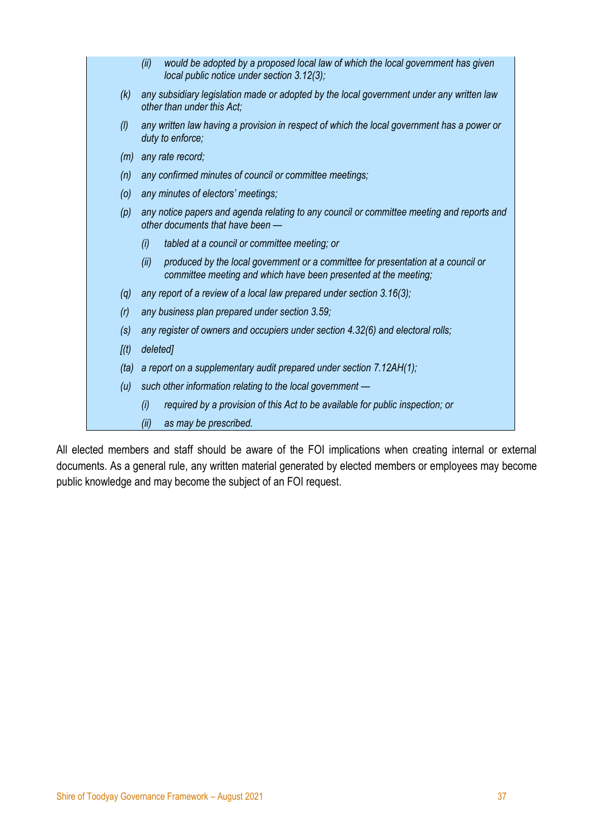|       | would be adopted by a proposed local law of which the local government has given<br>(ii)<br>local public notice under section 3.12(3);                      |
|-------|-------------------------------------------------------------------------------------------------------------------------------------------------------------|
| (k)   | any subsidiary legislation made or adopted by the local government under any written law<br>other than under this Act;                                      |
| (1)   | any written law having a provision in respect of which the local government has a power or<br>duty to enforce;                                              |
| (m)   | any rate record;                                                                                                                                            |
| (n)   | any confirmed minutes of council or committee meetings;                                                                                                     |
| (0)   | any minutes of electors' meetings;                                                                                                                          |
| (p)   | any notice papers and agenda relating to any council or committee meeting and reports and<br>other documents that have been -                               |
|       | tabled at a council or committee meeting; or<br>(i)                                                                                                         |
|       | produced by the local government or a committee for presentation at a council or<br>(ii)<br>committee meeting and which have been presented at the meeting; |
| (q)   | any report of a review of a local law prepared under section 3.16(3);                                                                                       |
| (r)   | any business plan prepared under section 3.59;                                                                                                              |
| (s)   | any register of owners and occupiers under section 4.32(6) and electoral rolls;                                                                             |
| [(t)] | deleted]                                                                                                                                                    |
| (ta)  | a report on a supplementary audit prepared under section 7.12AH(1);                                                                                         |
| (u)   | such other information relating to the local government -                                                                                                   |
|       | (i)<br>required by a provision of this Act to be available for public inspection; or                                                                        |
|       | as may be prescribed.<br>(ii)                                                                                                                               |

All elected members and staff should be aware of the FOI implications when creating internal or external documents. As a general rule, any written material generated by elected members or employees may become public knowledge and may become the subject of an FOI request.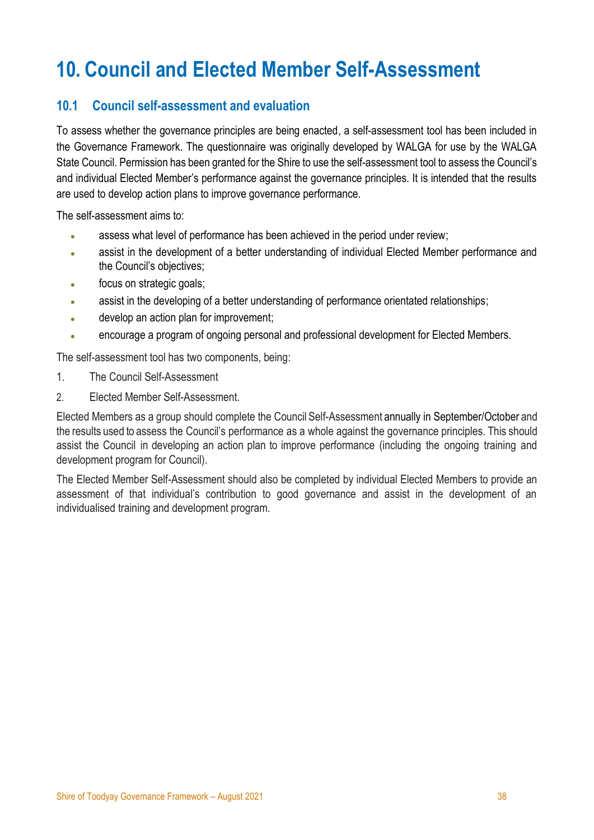# <span id="page-37-0"></span>**10. Council and Elected Member Self-Assessment**

# <span id="page-37-1"></span>**10.1 Council self-assessment and evaluation**

To assess whether the governance principles are being enacted, a self-assessment tool has been included in the Governance Framework. The questionnaire was originally developed by WALGA for use by the WALGA State Council. Permission has been granted for the Shire to use the self-assessment tool to assess the Council's and individual Elected Member's performance against the governance principles. It is intended that the results are used to develop action plans to improve governance performance.

The self-assessment aims to:

- assess what level of performance has been achieved in the period under review;
- assist in the development of a better understanding of individual Elected Member performance and the Council's objectives;
- focus on strategic goals;
- assist in the developing of a better understanding of performance orientated relationships;
- develop an action plan for improvement;
- encourage a program of ongoing personal and professional development for Elected Members.

The self-assessment tool has two components, being:

- 1. The Council Self-Assessment
- 2. Elected Member Self-Assessment.

Elected Members as a group should complete the Council Self-Assessment annually in September/October and the results used to assess the Council's performance as a whole against the governance principles. This should assist the Council in developing an action plan to improve performance (including the ongoing training and development program for Council).

The Elected Member Self-Assessment should also be completed by individual Elected Members to provide an assessment of that individual's contribution to good governance and assist in the development of an individualised training and development program.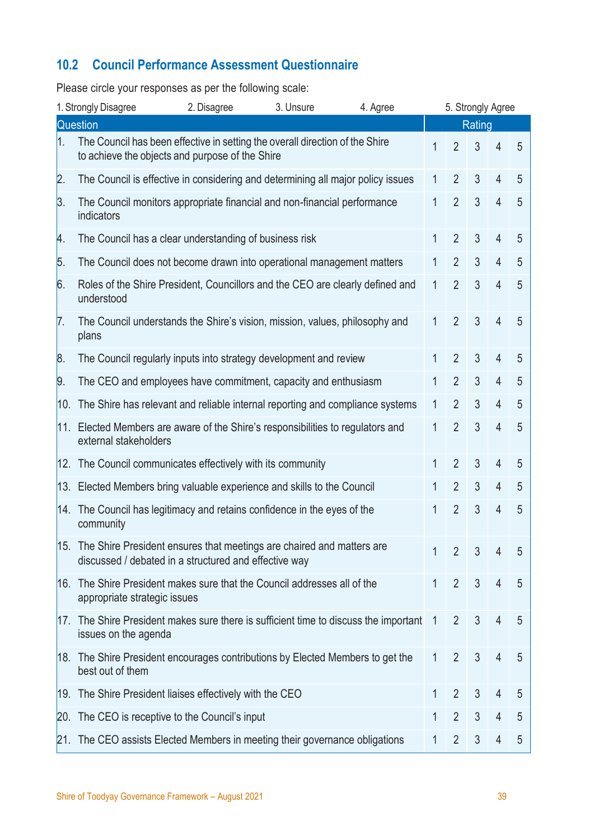# <span id="page-38-0"></span>**10.2 Council Performance Assessment Questionnaire**

Please circle your responses as per the following scale:

| 1. Strongly Disagree<br>3. Unsure<br>2. Disagree<br>4. Agree |                                                                                                                                    |  | 5. Strongly Agree |  |              |                |                |                |   |
|--------------------------------------------------------------|------------------------------------------------------------------------------------------------------------------------------------|--|-------------------|--|--------------|----------------|----------------|----------------|---|
| Question                                                     |                                                                                                                                    |  |                   |  | Rating       |                |                |                |   |
| 1.                                                           | The Council has been effective in setting the overall direction of the Shire<br>to achieve the objects and purpose of the Shire    |  |                   |  | 1            | $\overline{2}$ | 3              | 4              | 5 |
| $\overline{2}$ .                                             | The Council is effective in considering and determining all major policy issues                                                    |  |                   |  | 1            | $\overline{2}$ | 3              | $\overline{4}$ | 5 |
| 3.                                                           | The Council monitors appropriate financial and non-financial performance<br>indicators                                             |  |                   |  | 1            | $\overline{2}$ | 3              | 4              | 5 |
| Α.                                                           | The Council has a clear understanding of business risk                                                                             |  |                   |  | 1            | $\overline{2}$ | 3              | 4              | 5 |
| 5.                                                           | The Council does not become drawn into operational management matters                                                              |  |                   |  | 1            | $\overline{2}$ | $\mathfrak{Z}$ | 4              | 5 |
| 6.                                                           | Roles of the Shire President, Councillors and the CEO are clearly defined and<br>understood                                        |  |                   |  | 1            | $\overline{2}$ | $\mathfrak{Z}$ | $\overline{4}$ | 5 |
| 7.                                                           | The Council understands the Shire's vision, mission, values, philosophy and<br>plans                                               |  |                   |  | 1            | $\overline{2}$ | 3              | $\overline{4}$ | 5 |
| 8.                                                           | The Council regularly inputs into strategy development and review                                                                  |  |                   |  | 1            | $\overline{2}$ | 3              | 4              | 5 |
| $\vert 9.$                                                   | The CEO and employees have commitment, capacity and enthusiasm                                                                     |  |                   |  | 1            | $\overline{2}$ | $\mathfrak{Z}$ | 4              | 5 |
| 10.                                                          | The Shire has relevant and reliable internal reporting and compliance systems                                                      |  |                   |  | 1            | $\overline{2}$ | $\mathfrak{Z}$ | $\overline{4}$ | 5 |
| 11.                                                          | Elected Members are aware of the Shire's responsibilities to regulators and<br>external stakeholders                               |  |                   |  | 1            | $\overline{2}$ | $\overline{3}$ | $\overline{4}$ | 5 |
|                                                              | 12. The Council communicates effectively with its community                                                                        |  |                   |  | 1            | $\overline{2}$ | 3              | $\overline{4}$ | 5 |
| 13.                                                          | Elected Members bring valuable experience and skills to the Council                                                                |  |                   |  | 1            | $\overline{2}$ | $\mathfrak{Z}$ | 4              | 5 |
| 14.                                                          | The Council has legitimacy and retains confidence in the eyes of the<br>community                                                  |  |                   |  | 1            | $\overline{2}$ | 3              | 4              | 5 |
|                                                              | 15. The Shire President ensures that meetings are chaired and matters are<br>discussed / debated in a structured and effective way |  |                   |  | $\mathbf{1}$ | $\overline{2}$ | $\overline{3}$ | 4              | 5 |
|                                                              | 16. The Shire President makes sure that the Council addresses all of the<br>appropriate strategic issues                           |  |                   |  | 1            | $\overline{2}$ | 3              | $\overline{4}$ | 5 |
|                                                              | 17. The Shire President makes sure there is sufficient time to discuss the important<br>issues on the agenda                       |  |                   |  | 1            | $\overline{2}$ | 3              | 4              | 5 |
|                                                              | 18. The Shire President encourages contributions by Elected Members to get the<br>best out of them                                 |  |                   |  | 1            | $\overline{2}$ | $\mathfrak{Z}$ | $\overline{4}$ | 5 |
|                                                              | 19. The Shire President liaises effectively with the CEO                                                                           |  |                   |  | 1            | $\overline{2}$ | 3              | 4              | 5 |
|                                                              | 20. The CEO is receptive to the Council's input                                                                                    |  |                   |  | 1            | $\overline{2}$ | $\mathfrak{Z}$ | 4              | 5 |
|                                                              | 21. The CEO assists Elected Members in meeting their governance obligations                                                        |  |                   |  | 1            | $\overline{2}$ | $\mathfrak{Z}$ | 4              | 5 |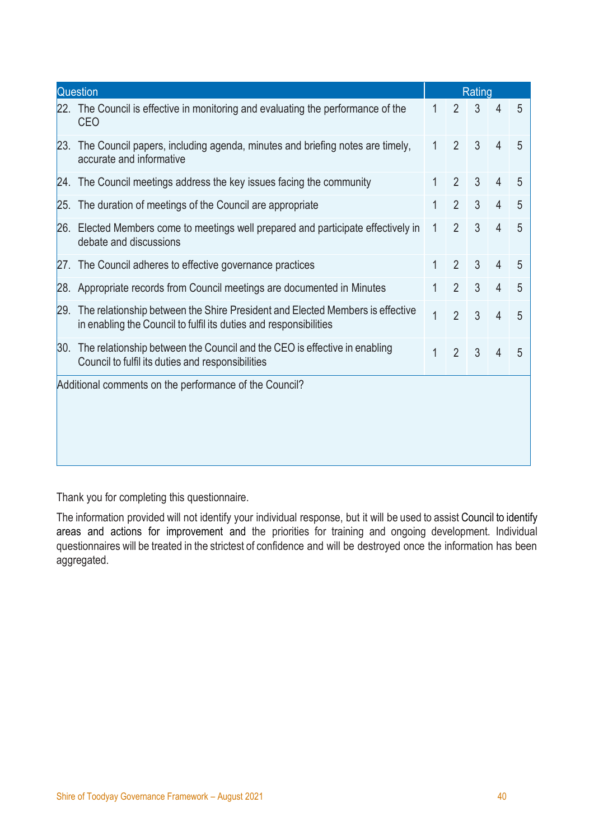| Question                                                                                                                       |                                                                                                                                                                                                                                                                                                                                                                                                                                                                                                                                                                                                                                |                |                | Rating         |   |  |  |  |  |
|--------------------------------------------------------------------------------------------------------------------------------|--------------------------------------------------------------------------------------------------------------------------------------------------------------------------------------------------------------------------------------------------------------------------------------------------------------------------------------------------------------------------------------------------------------------------------------------------------------------------------------------------------------------------------------------------------------------------------------------------------------------------------|----------------|----------------|----------------|---|--|--|--|--|
| <b>CEO</b>                                                                                                                     | 1                                                                                                                                                                                                                                                                                                                                                                                                                                                                                                                                                                                                                              | 2              | $\mathfrak{Z}$ | 4              | 5 |  |  |  |  |
| accurate and informative                                                                                                       | $\mathbf{1}$                                                                                                                                                                                                                                                                                                                                                                                                                                                                                                                                                                                                                   | $\overline{2}$ | 3              | $\overline{4}$ | 5 |  |  |  |  |
|                                                                                                                                |                                                                                                                                                                                                                                                                                                                                                                                                                                                                                                                                                                                                                                | $\overline{2}$ | 3              | 4              | 5 |  |  |  |  |
|                                                                                                                                | 1                                                                                                                                                                                                                                                                                                                                                                                                                                                                                                                                                                                                                              | $\overline{2}$ | 3              | $\overline{4}$ | 5 |  |  |  |  |
| debate and discussions                                                                                                         | $\mathbf{1}$                                                                                                                                                                                                                                                                                                                                                                                                                                                                                                                                                                                                                   | $\overline{2}$ | $\mathfrak{Z}$ | $\overline{4}$ | 5 |  |  |  |  |
|                                                                                                                                | 1                                                                                                                                                                                                                                                                                                                                                                                                                                                                                                                                                                                                                              | $\overline{2}$ | 3              | 4              | 5 |  |  |  |  |
|                                                                                                                                | 1                                                                                                                                                                                                                                                                                                                                                                                                                                                                                                                                                                                                                              | $\overline{2}$ | 3              | $\overline{4}$ | 5 |  |  |  |  |
| in enabling the Council to fulfil its duties and responsibilities                                                              | $\overline{1}$                                                                                                                                                                                                                                                                                                                                                                                                                                                                                                                                                                                                                 | $\overline{2}$ | 3              | $\overline{4}$ | 5 |  |  |  |  |
| The relationship between the Council and the CEO is effective in enabling<br>Council to fulfil its duties and responsibilities | $\mathbf{1}$                                                                                                                                                                                                                                                                                                                                                                                                                                                                                                                                                                                                                   | $\overline{2}$ | 3              | 4              | 5 |  |  |  |  |
| Additional comments on the performance of the Council?                                                                         |                                                                                                                                                                                                                                                                                                                                                                                                                                                                                                                                                                                                                                |                |                |                |   |  |  |  |  |
|                                                                                                                                |                                                                                                                                                                                                                                                                                                                                                                                                                                                                                                                                                                                                                                |                |                |                |   |  |  |  |  |
|                                                                                                                                |                                                                                                                                                                                                                                                                                                                                                                                                                                                                                                                                                                                                                                |                |                |                |   |  |  |  |  |
|                                                                                                                                |                                                                                                                                                                                                                                                                                                                                                                                                                                                                                                                                                                                                                                |                |                |                |   |  |  |  |  |
|                                                                                                                                | 22. The Council is effective in monitoring and evaluating the performance of the<br>[23. The Council papers, including agenda, minutes and briefing notes are timely,<br>24. The Council meetings address the key issues facing the community<br>25. The duration of meetings of the Council are appropriate<br>26. Elected Members come to meetings well prepared and participate effectively in<br>27. The Council adheres to effective governance practices<br>28. Appropriate records from Council meetings are documented in Minutes<br>29. The relationship between the Shire President and Elected Members is effective |                |                |                |   |  |  |  |  |

Thank you for completing this questionnaire.

The information provided will not identify your individual response, but it will be used to assist Council to identify areas and actions for improvement and the priorities for training and ongoing development. Individual questionnaires will be treated in the strictest of confidence and will be destroyed once the information has been aggregated.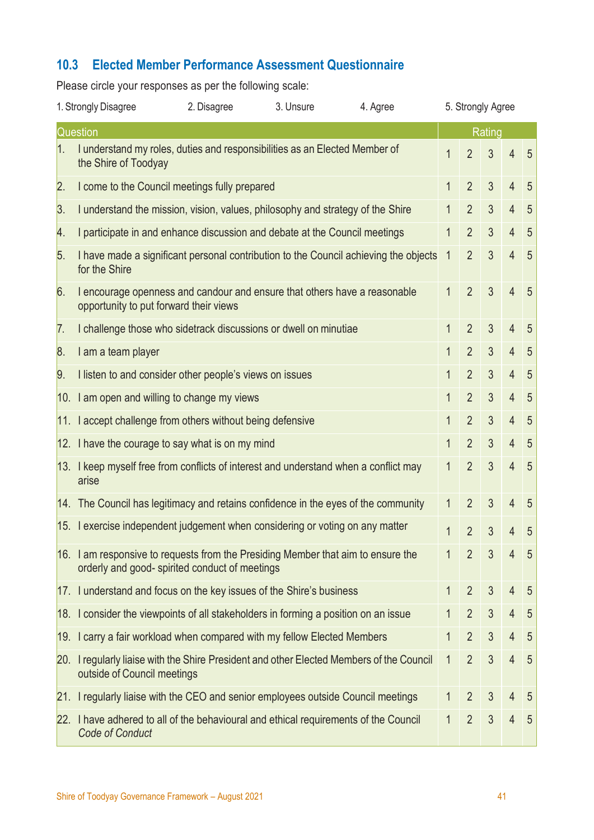# <span id="page-40-0"></span>**10.3 Elected Member Performance Assessment Questionnaire**

Please circle your responses as per the following scale:

|          | 1. Strongly Disagree<br>3. Unsure<br>4. Agree<br>2. Disagree                                                                      |  |  | 5. Strongly Agree                                                                    |              |                |                |                |                |  |  |
|----------|-----------------------------------------------------------------------------------------------------------------------------------|--|--|--------------------------------------------------------------------------------------|--------------|----------------|----------------|----------------|----------------|--|--|
| Question |                                                                                                                                   |  |  |                                                                                      |              | Rating         |                |                |                |  |  |
| 1.       | I understand my roles, duties and responsibilities as an Elected Member of<br>the Shire of Toodyay                                |  |  |                                                                                      | 1            | $\overline{2}$ | 3              | $\overline{4}$ | 5              |  |  |
| 2.       | I come to the Council meetings fully prepared                                                                                     |  |  |                                                                                      | 1            | $\overline{2}$ | $\mathfrak{Z}$ | $\overline{4}$ | 5              |  |  |
| 3.       | I understand the mission, vision, values, philosophy and strategy of the Shire                                                    |  |  |                                                                                      | 1            | $\overline{2}$ | $\mathfrak{Z}$ | $\overline{4}$ | 5              |  |  |
| 4.       | I participate in and enhance discussion and debate at the Council meetings                                                        |  |  |                                                                                      | 1            | $\overline{2}$ | $\mathfrak{Z}$ | $\overline{4}$ | 5              |  |  |
| 5.       | for the Shire                                                                                                                     |  |  | I have made a significant personal contribution to the Council achieving the objects | $\mathbf{1}$ | $\overline{2}$ | $\mathfrak{Z}$ | $\overline{4}$ | $\overline{5}$ |  |  |
| 6.       | I encourage openness and candour and ensure that others have a reasonable<br>opportunity to put forward their views               |  |  |                                                                                      | 1            | $\overline{2}$ | 3              | $\overline{4}$ | 5              |  |  |
| 7.       | I challenge those who sidetrack discussions or dwell on minutiae                                                                  |  |  |                                                                                      | 1            | $\overline{2}$ | 3              | $\overline{4}$ | 5              |  |  |
| 8.       | I am a team player                                                                                                                |  |  |                                                                                      | 1            | $\overline{2}$ | 3              | $\overline{4}$ | 5              |  |  |
| 9.       | I listen to and consider other people's views on issues                                                                           |  |  |                                                                                      | 1            | $\overline{2}$ | 3              | $\overline{4}$ | $\overline{5}$ |  |  |
|          | 10. I am open and willing to change my views                                                                                      |  |  |                                                                                      | 1            | $\overline{2}$ | 3              | $\overline{4}$ | 5              |  |  |
|          | 11. I accept challenge from others without being defensive                                                                        |  |  |                                                                                      | 1            | $\overline{2}$ | 3              | $\overline{4}$ | 5              |  |  |
|          | 12. I have the courage to say what is on my mind                                                                                  |  |  |                                                                                      | 1            | $\overline{2}$ | $\mathfrak{Z}$ | $\overline{4}$ | 5              |  |  |
|          | 13. I keep myself free from conflicts of interest and understand when a conflict may<br>arise                                     |  |  |                                                                                      | 1            | $\overline{2}$ | $\overline{3}$ | $\overline{4}$ | 5              |  |  |
|          | $ 14$ . The Council has legitimacy and retains confidence in the eyes of the community                                            |  |  |                                                                                      | 1            | $\overline{2}$ | 3              | $\overline{4}$ | 5              |  |  |
|          | 15. I exercise independent judgement when considering or voting on any matter                                                     |  |  |                                                                                      | 1            | $\overline{2}$ | 3              | $\overline{4}$ | 5              |  |  |
|          | 16. I am responsive to requests from the Presiding Member that aim to ensure the<br>orderly and good-spirited conduct of meetings |  |  |                                                                                      | 1            | $\overline{2}$ | 3              | 4              | 5              |  |  |
|          | 17. I understand and focus on the key issues of the Shire's business                                                              |  |  |                                                                                      | 1            | $\overline{2}$ | 3              | $\overline{4}$ | 5              |  |  |
|          | $18.$ I consider the viewpoints of all stakeholders in forming a position on an issue                                             |  |  |                                                                                      | 1            | $\overline{2}$ | 3              | $\overline{4}$ | 5              |  |  |
|          | 19. I carry a fair workload when compared with my fellow Elected Members                                                          |  |  |                                                                                      | 1            | $\overline{2}$ | 3              | $\overline{4}$ | 5              |  |  |
|          | 20. I regularly liaise with the Shire President and other Elected Members of the Council<br>outside of Council meetings           |  |  |                                                                                      | 1            | $\overline{2}$ | $\mathfrak{Z}$ | $\overline{4}$ | 5              |  |  |
| 21.      | I regularly liaise with the CEO and senior employees outside Council meetings                                                     |  |  |                                                                                      | 1            | $\overline{2}$ | 3              | $\overline{4}$ | 5              |  |  |
|          | 22. I have adhered to all of the behavioural and ethical requirements of the Council<br><b>Code of Conduct</b>                    |  |  |                                                                                      | 1            | $\overline{2}$ | 3              | $\overline{4}$ | 5              |  |  |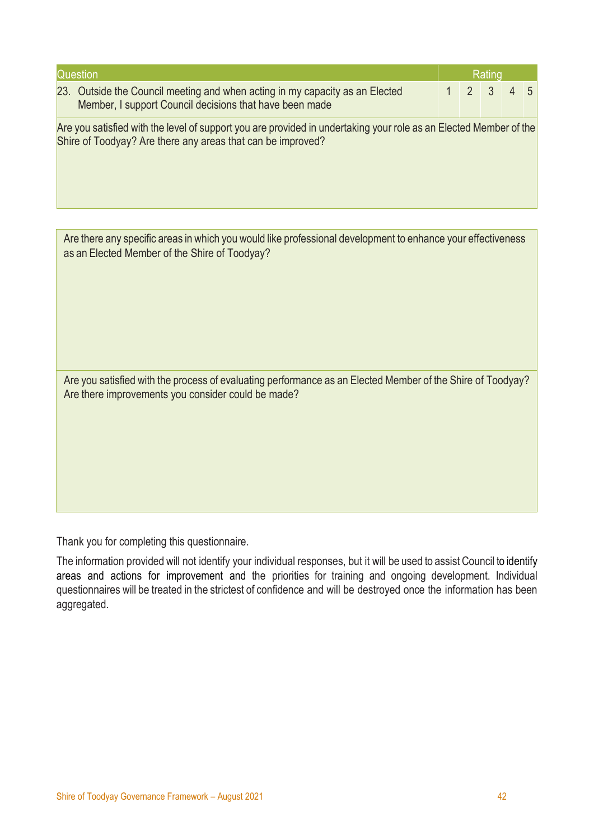| Question                                                                                                                                                                         |  |   | Rating |  |    |  |  |
|----------------------------------------------------------------------------------------------------------------------------------------------------------------------------------|--|---|--------|--|----|--|--|
| 23. Outside the Council meeting and when acting in my capacity as an Elected<br>Member, I support Council decisions that have been made                                          |  | 2 | 3      |  | -5 |  |  |
| Are you satisfied with the level of support you are provided in undertaking your role as an Elected Member of the<br>Shire of Toodyay? Are there any areas that can be improved? |  |   |        |  |    |  |  |
|                                                                                                                                                                                  |  |   |        |  |    |  |  |
| Are there any specific areas in which you would like professional development to enhance your effectiveness<br>as an Elected Member of the Shire of Toodyay?                     |  |   |        |  |    |  |  |

Are you satisfied with the process of evaluating performance as an Elected Member of the Shire of Toodyay? Are there improvements you consider could be made?

Thank you for completing this questionnaire.

The information provided will not identify your individual responses, but it will be used to assist Council to identify areas and actions for improvement and the priorities for training and ongoing development. Individual questionnaires will be treated in the strictest of confidence and will be destroyed once the information has been aggregated.